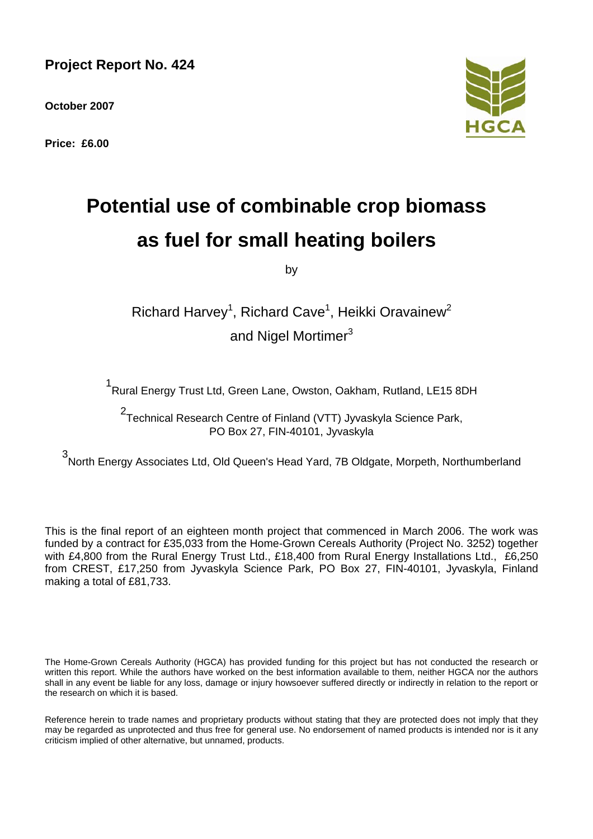**Project Report No. 424** 

**October 2007** 

**Price: £6.00** 



# **Potential use of combinable crop biomass as fuel for small heating boilers**

by

Richard Harvey<sup>1</sup>, Richard Cave<sup>1</sup>, Heikki Oravainew<sup>2</sup> and Nigel Mortimer<sup>3</sup>

1 Rural Energy Trust Ltd, Green Lane, Owston, Oakham, Rutland, LE15 8DH

2 Technical Research Centre of Finland (VTT) Jyvaskyla Science Park, PO Box 27, FIN-40101, Jyvaskyla

3 North Energy Associates Ltd, Old Queen's Head Yard, 7B Oldgate, Morpeth, Northumberland

This is the final report of an eighteen month project that commenced in March 2006. The work was funded by a contract for £35,033 from the Home-Grown Cereals Authority (Project No. 3252) together with £4,800 from the Rural Energy Trust Ltd., £18,400 from Rural Energy Installations Ltd., £6,250 from CREST, £17,250 from Jyvaskyla Science Park, PO Box 27, FIN-40101, Jyvaskyla, Finland making a total of £81,733.

The Home-Grown Cereals Authority (HGCA) has provided funding for this project but has not conducted the research or written this report. While the authors have worked on the best information available to them, neither HGCA nor the authors shall in any event be liable for any loss, damage or injury howsoever suffered directly or indirectly in relation to the report or the research on which it is based.

Reference herein to trade names and proprietary products without stating that they are protected does not imply that they may be regarded as unprotected and thus free for general use. No endorsement of named products is intended nor is it any criticism implied of other alternative, but unnamed, products.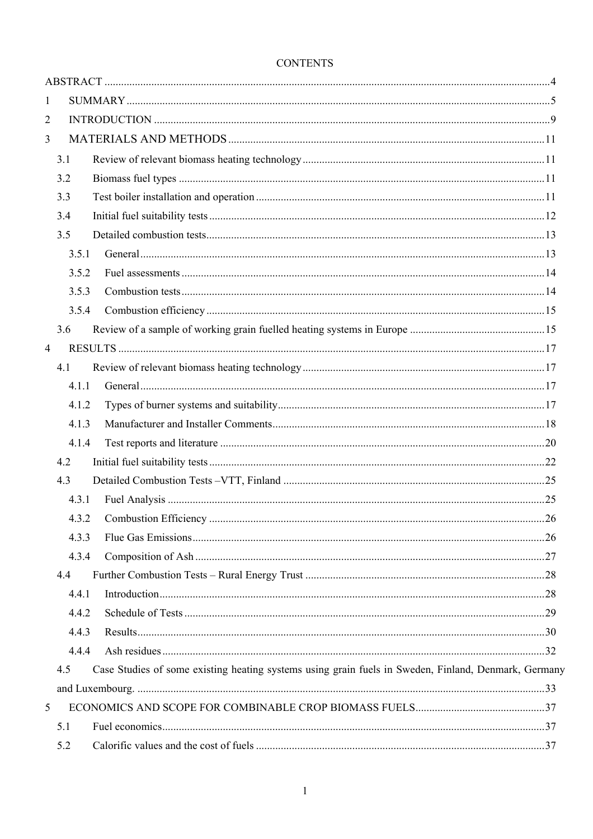| $\mathbf{1}$   |       |                                                                                                      |  |
|----------------|-------|------------------------------------------------------------------------------------------------------|--|
| 2              |       |                                                                                                      |  |
| 3              |       |                                                                                                      |  |
|                | 3.1   |                                                                                                      |  |
|                | 3.2   |                                                                                                      |  |
|                | 3.3   |                                                                                                      |  |
|                | 3.4   |                                                                                                      |  |
|                | 3.5   |                                                                                                      |  |
|                | 3.5.1 |                                                                                                      |  |
|                | 3.5.2 |                                                                                                      |  |
|                | 3.5.3 |                                                                                                      |  |
|                | 3.5.4 |                                                                                                      |  |
|                | 3.6   |                                                                                                      |  |
| $\overline{4}$ |       |                                                                                                      |  |
|                | 4.1   |                                                                                                      |  |
|                | 4.1.1 |                                                                                                      |  |
|                | 4.1.2 |                                                                                                      |  |
|                | 4.1.3 |                                                                                                      |  |
|                | 4.1.4 |                                                                                                      |  |
|                | 4.2   |                                                                                                      |  |
|                | 4.3   |                                                                                                      |  |
|                | 4.3.1 |                                                                                                      |  |
|                | 4.3.2 |                                                                                                      |  |
|                | 4.3.3 |                                                                                                      |  |
|                | 4.3.4 |                                                                                                      |  |
|                | 4.4   |                                                                                                      |  |
|                | 4.4.1 |                                                                                                      |  |
|                | 4.4.2 |                                                                                                      |  |
|                | 4.4.3 |                                                                                                      |  |
|                | 4.4.4 |                                                                                                      |  |
|                | 4.5   | Case Studies of some existing heating systems using grain fuels in Sweden, Finland, Denmark, Germany |  |
|                |       |                                                                                                      |  |
| 5              |       |                                                                                                      |  |
|                | 5.1   |                                                                                                      |  |
|                | 5.2   |                                                                                                      |  |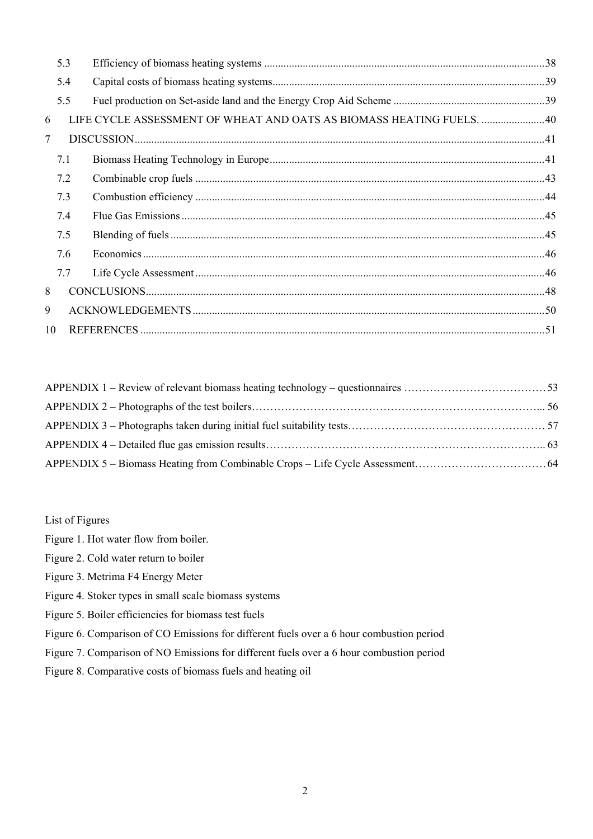|                | 5.3 |                                                                      |  |  |  |  |  |
|----------------|-----|----------------------------------------------------------------------|--|--|--|--|--|
|                | 5.4 |                                                                      |  |  |  |  |  |
|                | 5.5 |                                                                      |  |  |  |  |  |
| 6              |     | LIFE CYCLE ASSESSMENT OF WHEAT AND OATS AS BIOMASS HEATING FUELS. 40 |  |  |  |  |  |
| $\overline{7}$ |     |                                                                      |  |  |  |  |  |
|                | 7.1 |                                                                      |  |  |  |  |  |
|                | 7.2 |                                                                      |  |  |  |  |  |
|                | 7.3 |                                                                      |  |  |  |  |  |
|                | 7.4 |                                                                      |  |  |  |  |  |
|                | 7.5 |                                                                      |  |  |  |  |  |
|                | 7.6 |                                                                      |  |  |  |  |  |
|                | 7.7 |                                                                      |  |  |  |  |  |
| 8              |     |                                                                      |  |  |  |  |  |
| 9              |     |                                                                      |  |  |  |  |  |
| 10             |     |                                                                      |  |  |  |  |  |

List of Figures

- Figure 1. Hot water flow from boiler.
- Figure 2. Cold water return to boiler
- Figure 3. Metrima F4 Energy Meter
- Figure 4. Stoker types in small scale biomass systems
- Figure 5. Boiler efficiencies for biomass test fuels
- Figure 6. Comparison of CO Emissions for different fuels over a 6 hour combustion period
- Figure 7. Comparison of NO Emissions for different fuels over a 6 hour combustion period
- Figure 8. Comparative costs of biomass fuels and heating oil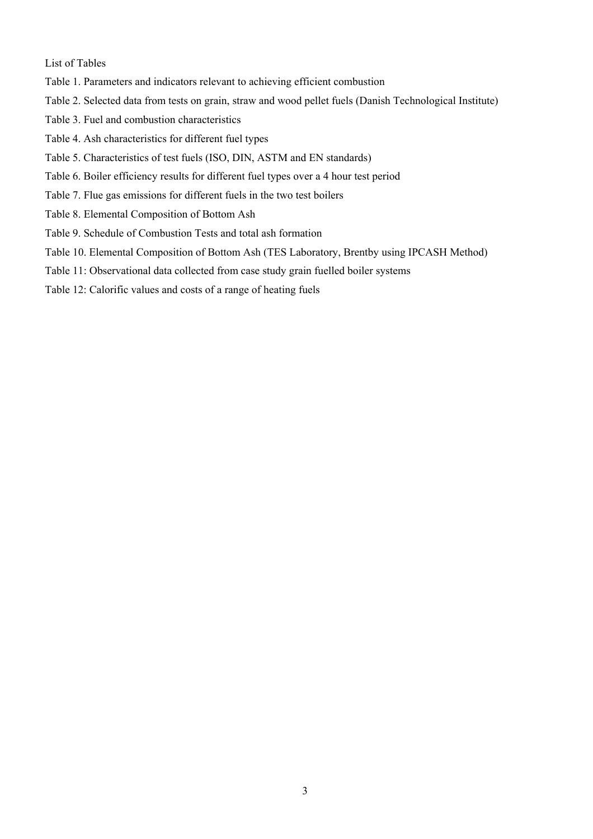List of Tables

- Table 1. Parameters and indicators relevant to achieving efficient combustion
- Table 2. Selected data from tests on grain, straw and wood pellet fuels (Danish Technological Institute)
- Table 3. Fuel and combustion characteristics
- Table 4. Ash characteristics for different fuel types
- Table 5. Characteristics of test fuels (ISO, DIN, ASTM and EN standards)
- Table 6. Boiler efficiency results for different fuel types over a 4 hour test period
- Table 7. Flue gas emissions for different fuels in the two test boilers
- Table 8. Elemental Composition of Bottom Ash
- Table 9. Schedule of Combustion Tests and total ash formation
- Table 10. Elemental Composition of Bottom Ash (TES Laboratory, Brentby using IPCASH Method)
- Table 11: Observational data collected from case study grain fuelled boiler systems
- Table 12: Calorific values and costs of a range of heating fuels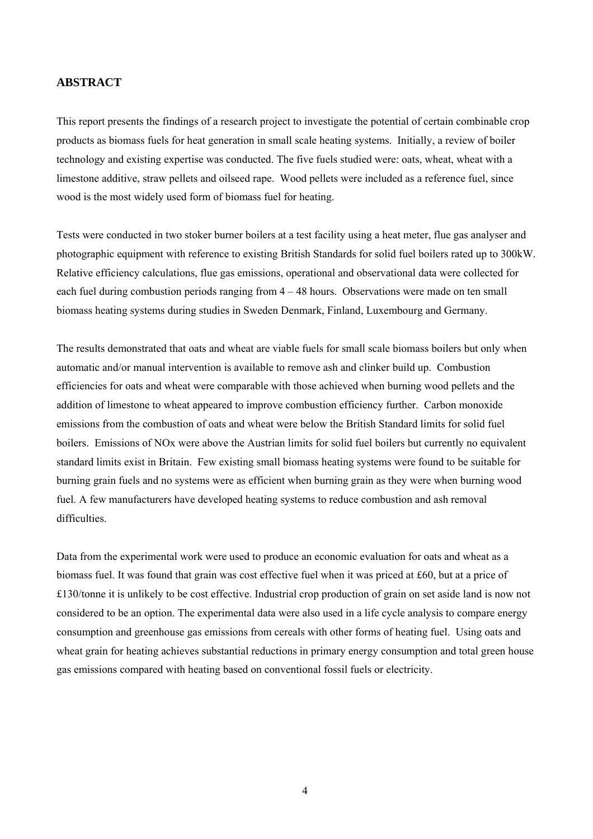# **ABSTRACT**

This report presents the findings of a research project to investigate the potential of certain combinable crop products as biomass fuels for heat generation in small scale heating systems. Initially, a review of boiler technology and existing expertise was conducted. The five fuels studied were: oats, wheat, wheat with a limestone additive, straw pellets and oilseed rape. Wood pellets were included as a reference fuel, since wood is the most widely used form of biomass fuel for heating.

Tests were conducted in two stoker burner boilers at a test facility using a heat meter, flue gas analyser and photographic equipment with reference to existing British Standards for solid fuel boilers rated up to 300kW. Relative efficiency calculations, flue gas emissions, operational and observational data were collected for each fuel during combustion periods ranging from 4 – 48 hours. Observations were made on ten small biomass heating systems during studies in Sweden Denmark, Finland, Luxembourg and Germany.

The results demonstrated that oats and wheat are viable fuels for small scale biomass boilers but only when automatic and/or manual intervention is available to remove ash and clinker build up. Combustion efficiencies for oats and wheat were comparable with those achieved when burning wood pellets and the addition of limestone to wheat appeared to improve combustion efficiency further. Carbon monoxide emissions from the combustion of oats and wheat were below the British Standard limits for solid fuel boilers. Emissions of NOx were above the Austrian limits for solid fuel boilers but currently no equivalent standard limits exist in Britain. Few existing small biomass heating systems were found to be suitable for burning grain fuels and no systems were as efficient when burning grain as they were when burning wood fuel. A few manufacturers have developed heating systems to reduce combustion and ash removal difficulties.

Data from the experimental work were used to produce an economic evaluation for oats and wheat as a biomass fuel. It was found that grain was cost effective fuel when it was priced at £60, but at a price of £130/tonne it is unlikely to be cost effective. Industrial crop production of grain on set aside land is now not considered to be an option. The experimental data were also used in a life cycle analysis to compare energy consumption and greenhouse gas emissions from cereals with other forms of heating fuel. Using oats and wheat grain for heating achieves substantial reductions in primary energy consumption and total green house gas emissions compared with heating based on conventional fossil fuels or electricity.

4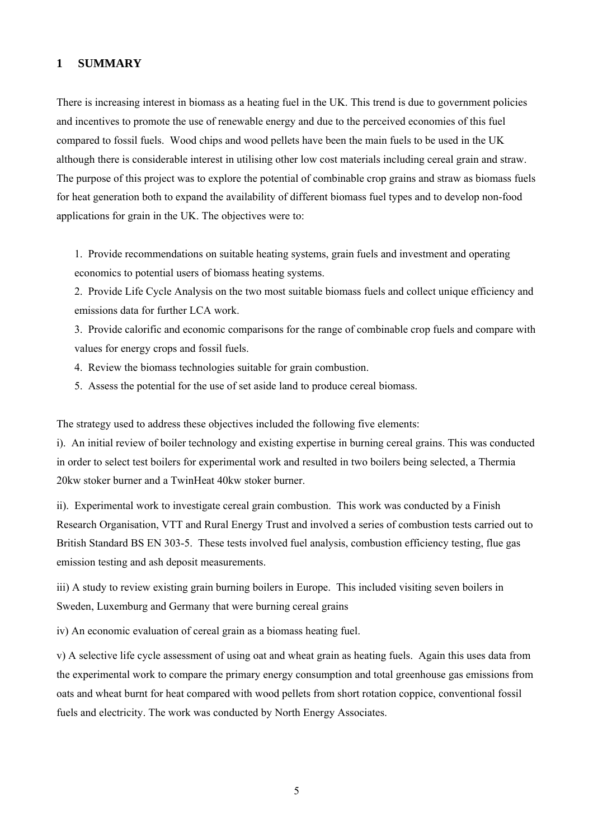#### **1 SUMMARY**

There is increasing interest in biomass as a heating fuel in the UK. This trend is due to government policies and incentives to promote the use of renewable energy and due to the perceived economies of this fuel compared to fossil fuels. Wood chips and wood pellets have been the main fuels to be used in the UK although there is considerable interest in utilising other low cost materials including cereal grain and straw. The purpose of this project was to explore the potential of combinable crop grains and straw as biomass fuels for heat generation both to expand the availability of different biomass fuel types and to develop non-food applications for grain in the UK. The objectives were to:

1. Provide recommendations on suitable heating systems, grain fuels and investment and operating economics to potential users of biomass heating systems.

2. Provide Life Cycle Analysis on the two most suitable biomass fuels and collect unique efficiency and emissions data for further LCA work.

3. Provide calorific and economic comparisons for the range of combinable crop fuels and compare with values for energy crops and fossil fuels.

- 4. Review the biomass technologies suitable for grain combustion.
- 5. Assess the potential for the use of set aside land to produce cereal biomass.

The strategy used to address these objectives included the following five elements:

i). An initial review of boiler technology and existing expertise in burning cereal grains. This was conducted in order to select test boilers for experimental work and resulted in two boilers being selected, a Thermia 20kw stoker burner and a TwinHeat 40kw stoker burner.

ii). Experimental work to investigate cereal grain combustion. This work was conducted by a Finish Research Organisation, VTT and Rural Energy Trust and involved a series of combustion tests carried out to British Standard BS EN 303-5. These tests involved fuel analysis, combustion efficiency testing, flue gas emission testing and ash deposit measurements.

iii) A study to review existing grain burning boilers in Europe. This included visiting seven boilers in Sweden, Luxemburg and Germany that were burning cereal grains

iv) An economic evaluation of cereal grain as a biomass heating fuel.

v) A selective life cycle assessment of using oat and wheat grain as heating fuels. Again this uses data from the experimental work to compare the primary energy consumption and total greenhouse gas emissions from oats and wheat burnt for heat compared with wood pellets from short rotation coppice, conventional fossil fuels and electricity. The work was conducted by North Energy Associates.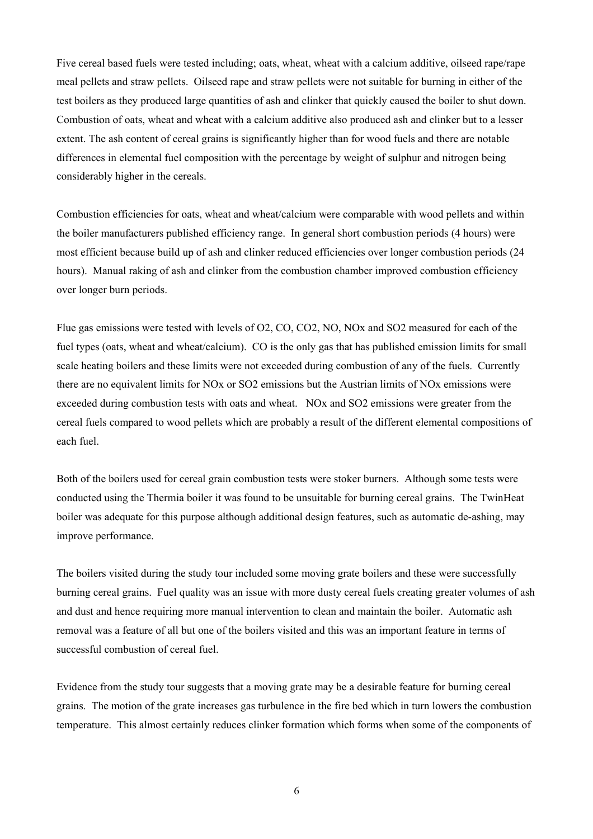Five cereal based fuels were tested including; oats, wheat, wheat with a calcium additive, oilseed rape/rape meal pellets and straw pellets. Oilseed rape and straw pellets were not suitable for burning in either of the test boilers as they produced large quantities of ash and clinker that quickly caused the boiler to shut down. Combustion of oats, wheat and wheat with a calcium additive also produced ash and clinker but to a lesser extent. The ash content of cereal grains is significantly higher than for wood fuels and there are notable differences in elemental fuel composition with the percentage by weight of sulphur and nitrogen being considerably higher in the cereals.

Combustion efficiencies for oats, wheat and wheat/calcium were comparable with wood pellets and within the boiler manufacturers published efficiency range. In general short combustion periods (4 hours) were most efficient because build up of ash and clinker reduced efficiencies over longer combustion periods (24 hours). Manual raking of ash and clinker from the combustion chamber improved combustion efficiency over longer burn periods.

Flue gas emissions were tested with levels of O2, CO, CO2, NO, NOx and SO2 measured for each of the fuel types (oats, wheat and wheat/calcium). CO is the only gas that has published emission limits for small scale heating boilers and these limits were not exceeded during combustion of any of the fuels. Currently there are no equivalent limits for NOx or SO2 emissions but the Austrian limits of NOx emissions were exceeded during combustion tests with oats and wheat. NOx and SO2 emissions were greater from the cereal fuels compared to wood pellets which are probably a result of the different elemental compositions of each fuel.

Both of the boilers used for cereal grain combustion tests were stoker burners. Although some tests were conducted using the Thermia boiler it was found to be unsuitable for burning cereal grains. The TwinHeat boiler was adequate for this purpose although additional design features, such as automatic de-ashing, may improve performance.

The boilers visited during the study tour included some moving grate boilers and these were successfully burning cereal grains. Fuel quality was an issue with more dusty cereal fuels creating greater volumes of ash and dust and hence requiring more manual intervention to clean and maintain the boiler. Automatic ash removal was a feature of all but one of the boilers visited and this was an important feature in terms of successful combustion of cereal fuel.

Evidence from the study tour suggests that a moving grate may be a desirable feature for burning cereal grains. The motion of the grate increases gas turbulence in the fire bed which in turn lowers the combustion temperature. This almost certainly reduces clinker formation which forms when some of the components of

6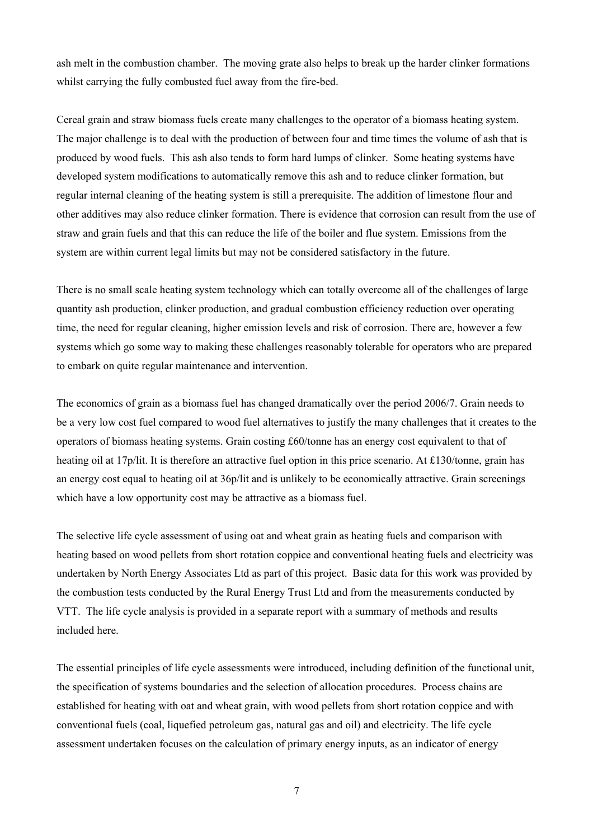ash melt in the combustion chamber. The moving grate also helps to break up the harder clinker formations whilst carrying the fully combusted fuel away from the fire-bed.

Cereal grain and straw biomass fuels create many challenges to the operator of a biomass heating system. The major challenge is to deal with the production of between four and time times the volume of ash that is produced by wood fuels. This ash also tends to form hard lumps of clinker. Some heating systems have developed system modifications to automatically remove this ash and to reduce clinker formation, but regular internal cleaning of the heating system is still a prerequisite. The addition of limestone flour and other additives may also reduce clinker formation. There is evidence that corrosion can result from the use of straw and grain fuels and that this can reduce the life of the boiler and flue system. Emissions from the system are within current legal limits but may not be considered satisfactory in the future.

There is no small scale heating system technology which can totally overcome all of the challenges of large quantity ash production, clinker production, and gradual combustion efficiency reduction over operating time, the need for regular cleaning, higher emission levels and risk of corrosion. There are, however a few systems which go some way to making these challenges reasonably tolerable for operators who are prepared to embark on quite regular maintenance and intervention.

The economics of grain as a biomass fuel has changed dramatically over the period 2006/7. Grain needs to be a very low cost fuel compared to wood fuel alternatives to justify the many challenges that it creates to the operators of biomass heating systems. Grain costing £60/tonne has an energy cost equivalent to that of heating oil at 17p/lit. It is therefore an attractive fuel option in this price scenario. At £130/tonne, grain has an energy cost equal to heating oil at 36p/lit and is unlikely to be economically attractive. Grain screenings which have a low opportunity cost may be attractive as a biomass fuel.

The selective life cycle assessment of using oat and wheat grain as heating fuels and comparison with heating based on wood pellets from short rotation coppice and conventional heating fuels and electricity was undertaken by North Energy Associates Ltd as part of this project. Basic data for this work was provided by the combustion tests conducted by the Rural Energy Trust Ltd and from the measurements conducted by VTT. The life cycle analysis is provided in a separate report with a summary of methods and results included here.

The essential principles of life cycle assessments were introduced, including definition of the functional unit, the specification of systems boundaries and the selection of allocation procedures. Process chains are established for heating with oat and wheat grain, with wood pellets from short rotation coppice and with conventional fuels (coal, liquefied petroleum gas, natural gas and oil) and electricity. The life cycle assessment undertaken focuses on the calculation of primary energy inputs, as an indicator of energy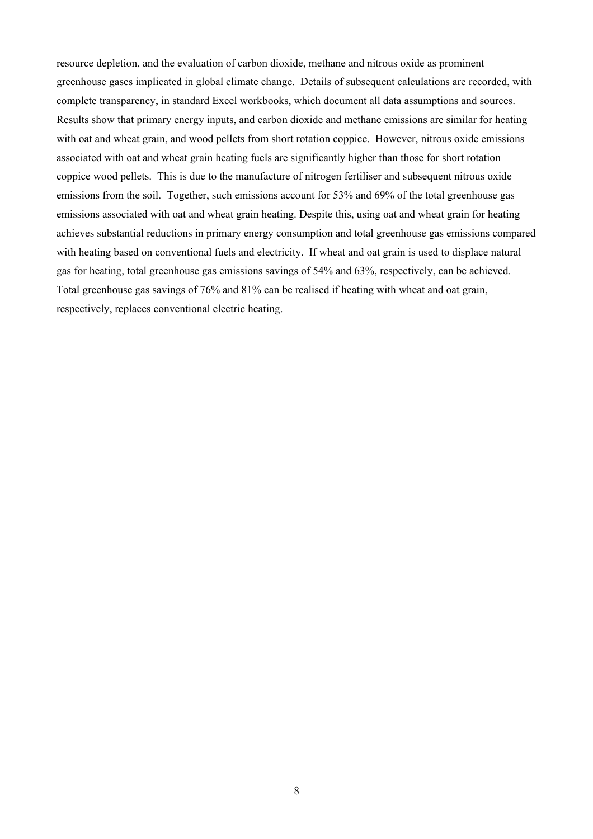resource depletion, and the evaluation of carbon dioxide, methane and nitrous oxide as prominent greenhouse gases implicated in global climate change. Details of subsequent calculations are recorded, with complete transparency, in standard Excel workbooks, which document all data assumptions and sources. Results show that primary energy inputs, and carbon dioxide and methane emissions are similar for heating with oat and wheat grain, and wood pellets from short rotation coppice. However, nitrous oxide emissions associated with oat and wheat grain heating fuels are significantly higher than those for short rotation coppice wood pellets. This is due to the manufacture of nitrogen fertiliser and subsequent nitrous oxide emissions from the soil. Together, such emissions account for 53% and 69% of the total greenhouse gas emissions associated with oat and wheat grain heating. Despite this, using oat and wheat grain for heating achieves substantial reductions in primary energy consumption and total greenhouse gas emissions compared with heating based on conventional fuels and electricity. If wheat and oat grain is used to displace natural gas for heating, total greenhouse gas emissions savings of 54% and 63%, respectively, can be achieved. Total greenhouse gas savings of 76% and 81% can be realised if heating with wheat and oat grain, respectively, replaces conventional electric heating.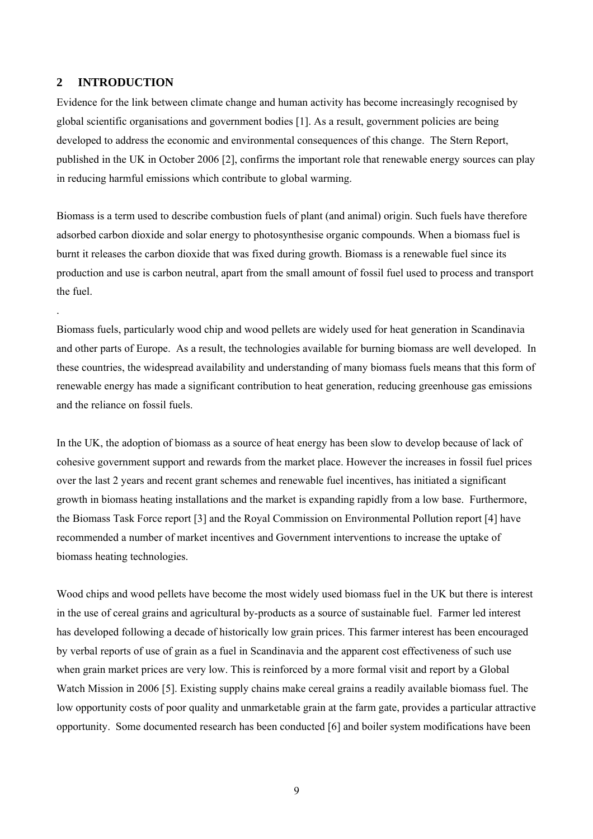#### **2 INTRODUCTION**

.

Evidence for the link between climate change and human activity has become increasingly recognised by global scientific organisations and government bodies [1]. As a result, government policies are being developed to address the economic and environmental consequences of this change. The Stern Report, published in the UK in October 2006 [2], confirms the important role that renewable energy sources can play in reducing harmful emissions which contribute to global warming.

Biomass is a term used to describe combustion fuels of plant (and animal) origin. Such fuels have therefore adsorbed carbon dioxide and solar energy to photosynthesise organic compounds. When a biomass fuel is burnt it releases the carbon dioxide that was fixed during growth. Biomass is a renewable fuel since its production and use is carbon neutral, apart from the small amount of fossil fuel used to process and transport the fuel.

Biomass fuels, particularly wood chip and wood pellets are widely used for heat generation in Scandinavia and other parts of Europe. As a result, the technologies available for burning biomass are well developed. In these countries, the widespread availability and understanding of many biomass fuels means that this form of renewable energy has made a significant contribution to heat generation, reducing greenhouse gas emissions and the reliance on fossil fuels.

In the UK, the adoption of biomass as a source of heat energy has been slow to develop because of lack of cohesive government support and rewards from the market place. However the increases in fossil fuel prices over the last 2 years and recent grant schemes and renewable fuel incentives, has initiated a significant growth in biomass heating installations and the market is expanding rapidly from a low base. Furthermore, the Biomass Task Force report [3] and the Royal Commission on Environmental Pollution report [4] have recommended a number of market incentives and Government interventions to increase the uptake of biomass heating technologies.

Wood chips and wood pellets have become the most widely used biomass fuel in the UK but there is interest in the use of cereal grains and agricultural by-products as a source of sustainable fuel. Farmer led interest has developed following a decade of historically low grain prices. This farmer interest has been encouraged by verbal reports of use of grain as a fuel in Scandinavia and the apparent cost effectiveness of such use when grain market prices are very low. This is reinforced by a more formal visit and report by a Global Watch Mission in 2006 [5]. Existing supply chains make cereal grains a readily available biomass fuel. The low opportunity costs of poor quality and unmarketable grain at the farm gate, provides a particular attractive opportunity. Some documented research has been conducted [6] and boiler system modifications have been

9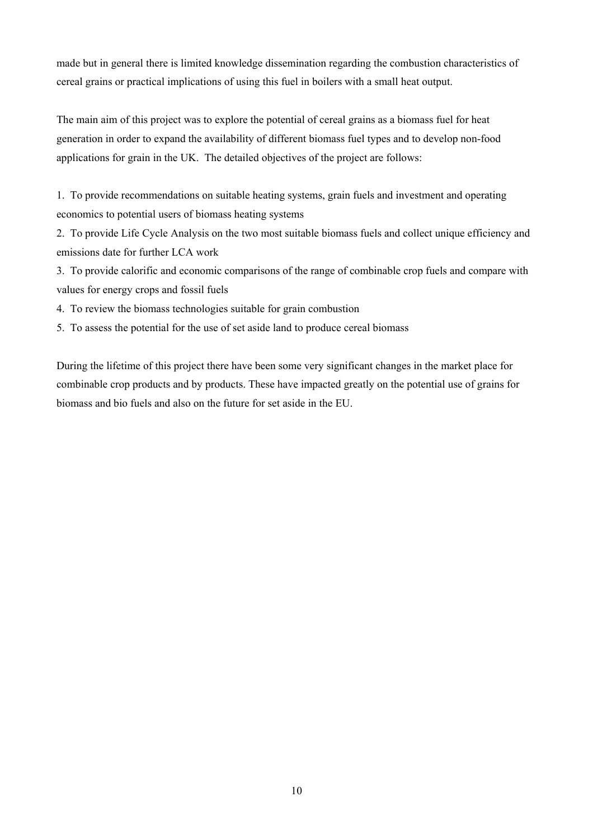made but in general there is limited knowledge dissemination regarding the combustion characteristics of cereal grains or practical implications of using this fuel in boilers with a small heat output.

The main aim of this project was to explore the potential of cereal grains as a biomass fuel for heat generation in order to expand the availability of different biomass fuel types and to develop non-food applications for grain in the UK. The detailed objectives of the project are follows:

1. To provide recommendations on suitable heating systems, grain fuels and investment and operating economics to potential users of biomass heating systems

2. To provide Life Cycle Analysis on the two most suitable biomass fuels and collect unique efficiency and emissions date for further LCA work

3. To provide calorific and economic comparisons of the range of combinable crop fuels and compare with values for energy crops and fossil fuels

4. To review the biomass technologies suitable for grain combustion

5. To assess the potential for the use of set aside land to produce cereal biomass

During the lifetime of this project there have been some very significant changes in the market place for combinable crop products and by products. These have impacted greatly on the potential use of grains for biomass and bio fuels and also on the future for set aside in the EU.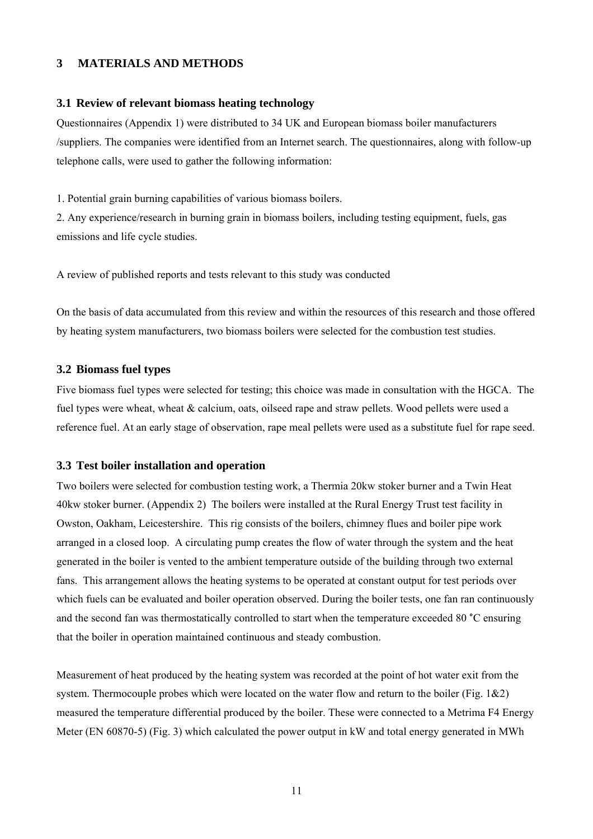## **3 MATERIALS AND METHODS**

#### **3.1 Review of relevant biomass heating technology**

Questionnaires (Appendix 1) were distributed to 34 UK and European biomass boiler manufacturers /suppliers. The companies were identified from an Internet search. The questionnaires, along with follow-up telephone calls, were used to gather the following information:

1. Potential grain burning capabilities of various biomass boilers.

2. Any experience/research in burning grain in biomass boilers, including testing equipment, fuels, gas emissions and life cycle studies.

A review of published reports and tests relevant to this study was conducted

On the basis of data accumulated from this review and within the resources of this research and those offered by heating system manufacturers, two biomass boilers were selected for the combustion test studies.

#### **3.2 Biomass fuel types**

Five biomass fuel types were selected for testing; this choice was made in consultation with the HGCA. The fuel types were wheat, wheat & calcium, oats, oilseed rape and straw pellets. Wood pellets were used a reference fuel. At an early stage of observation, rape meal pellets were used as a substitute fuel for rape seed.

#### **3.3 Test boiler installation and operation**

Two boilers were selected for combustion testing work, a Thermia 20kw stoker burner and a Twin Heat 40kw stoker burner. (Appendix 2) The boilers were installed at the Rural Energy Trust test facility in Owston, Oakham, Leicestershire. This rig consists of the boilers, chimney flues and boiler pipe work arranged in a closed loop. A circulating pump creates the flow of water through the system and the heat generated in the boiler is vented to the ambient temperature outside of the building through two external fans. This arrangement allows the heating systems to be operated at constant output for test periods over which fuels can be evaluated and boiler operation observed. During the boiler tests, one fan ran continuously and the second fan was thermostatically controlled to start when the temperature exceeded 80 ˚C ensuring that the boiler in operation maintained continuous and steady combustion.

Measurement of heat produced by the heating system was recorded at the point of hot water exit from the system. Thermocouple probes which were located on the water flow and return to the boiler (Fig. 1&2) measured the temperature differential produced by the boiler. These were connected to a Metrima F4 Energy Meter (EN 60870-5) (Fig. 3) which calculated the power output in kW and total energy generated in MWh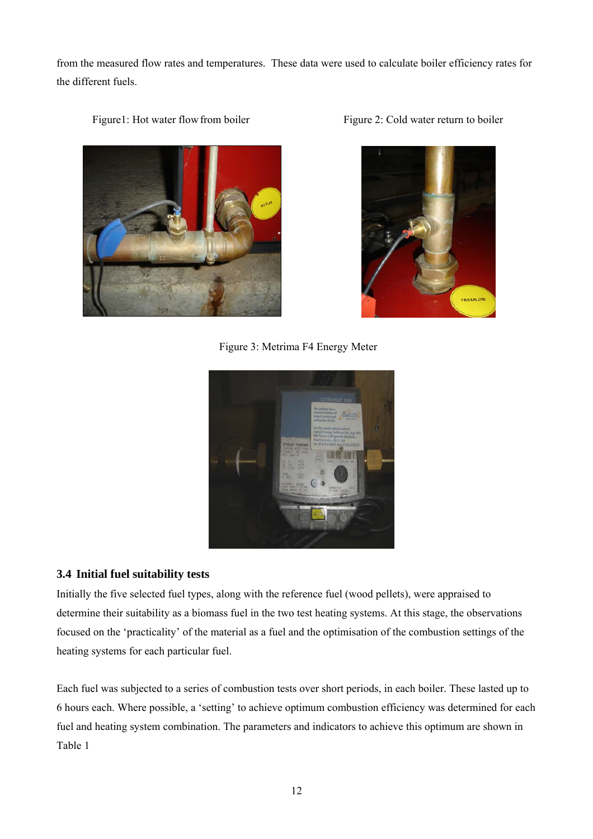from the measured flow rates and temperatures. These data were used to calculate boiler efficiency rates for the different fuels.



Figure1: Hot water flow from boiler Figure 2: Cold water return to boiler

FREMLOB

Figure 3: Metrima F4 Energy Meter



# **3.4 Initial fuel suitability tests**

Initially the five selected fuel types, along with the reference fuel (wood pellets), were appraised to determine their suitability as a biomass fuel in the two test heating systems. At this stage, the observations focused on the 'practicality' of the material as a fuel and the optimisation of the combustion settings of the heating systems for each particular fuel.

Each fuel was subjected to a series of combustion tests over short periods, in each boiler. These lasted up to 6 hours each. Where possible, a 'setting' to achieve optimum combustion efficiency was determined for each fuel and heating system combination. The parameters and indicators to achieve this optimum are shown in Table 1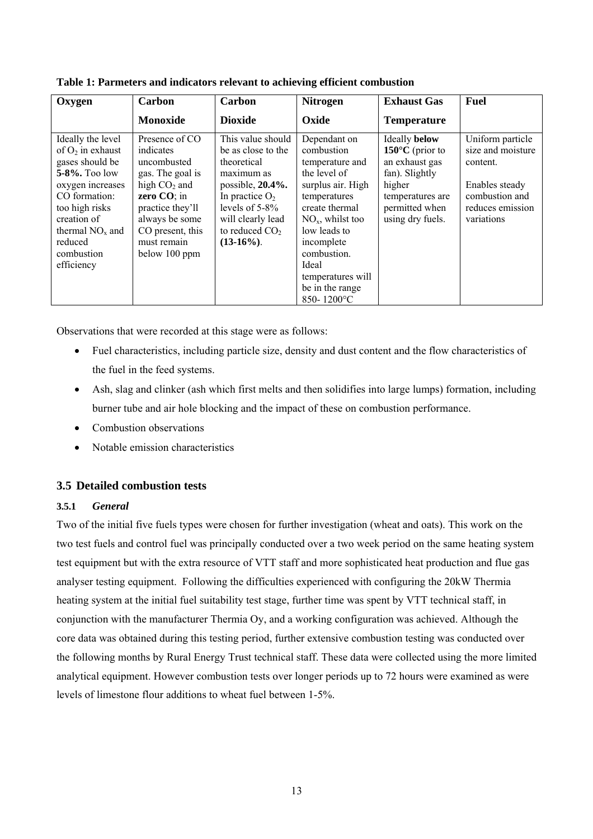| Oxygen                                                                                                                                                                                                               | Carbon                                                                                                                                                                                    | Carbon                                                                                                                                                                                       | <b>Nitrogen</b>                                                                                                                                                                                                                                         | <b>Exhaust Gas</b>                                                                                                                                             | Fuel                                                                                                                    |
|----------------------------------------------------------------------------------------------------------------------------------------------------------------------------------------------------------------------|-------------------------------------------------------------------------------------------------------------------------------------------------------------------------------------------|----------------------------------------------------------------------------------------------------------------------------------------------------------------------------------------------|---------------------------------------------------------------------------------------------------------------------------------------------------------------------------------------------------------------------------------------------------------|----------------------------------------------------------------------------------------------------------------------------------------------------------------|-------------------------------------------------------------------------------------------------------------------------|
|                                                                                                                                                                                                                      | <b>Monoxide</b>                                                                                                                                                                           | <b>Dioxide</b>                                                                                                                                                                               | Oxide                                                                                                                                                                                                                                                   | <b>Temperature</b>                                                                                                                                             |                                                                                                                         |
| Ideally the level<br>of $O_2$ in exhaust<br>gases should be<br>$5 - 8\%$ . Too low<br>oxygen increases<br>CO formation:<br>too high risks<br>creation of<br>thermal $NOx$ and<br>reduced<br>combustion<br>efficiency | Presence of CO<br>indicates<br>uncombusted<br>gas. The goal is<br>high $CO2$ and<br>zero CO; in<br>practice they'll<br>always be some<br>CO present, this<br>must remain<br>below 100 ppm | This value should<br>be as close to the<br>theoretical<br>maximum as<br>possible, 20.4%.<br>In practice $O_2$<br>levels of $5-8\%$<br>will clearly lead<br>to reduced $CO2$<br>$(13-16\%)$ . | Dependant on<br>combustion<br>temperature and<br>the level of<br>surplus air. High<br>temperatures<br>create thermal<br>$NOx$ , whilst too<br>low leads to<br>incomplete<br>combustion.<br>Ideal<br>temperatures will<br>be in the range<br>850-1200 °C | <b>Ideally below</b><br>150 $\rm{^{\circ}C}$ (prior to<br>an exhaust gas<br>fan). Slightly<br>higher<br>temperatures are<br>permitted when<br>using dry fuels. | Uniform particle<br>size and moisture<br>content.<br>Enables steady<br>combustion and<br>reduces emission<br>variations |

**Table 1: Parmeters and indicators relevant to achieving efficient combustion** 

Observations that were recorded at this stage were as follows:

- Fuel characteristics, including particle size, density and dust content and the flow characteristics of the fuel in the feed systems.
- Ash, slag and clinker (ash which first melts and then solidifies into large lumps) formation, including burner tube and air hole blocking and the impact of these on combustion performance.
- Combustion observations
- Notable emission characteristics

# **3.5 Detailed combustion tests**

# **3.5.1** *General*

Two of the initial five fuels types were chosen for further investigation (wheat and oats). This work on the two test fuels and control fuel was principally conducted over a two week period on the same heating system test equipment but with the extra resource of VTT staff and more sophisticated heat production and flue gas analyser testing equipment. Following the difficulties experienced with configuring the 20kW Thermia heating system at the initial fuel suitability test stage, further time was spent by VTT technical staff, in conjunction with the manufacturer Thermia Oy, and a working configuration was achieved. Although the core data was obtained during this testing period, further extensive combustion testing was conducted over the following months by Rural Energy Trust technical staff. These data were collected using the more limited analytical equipment. However combustion tests over longer periods up to 72 hours were examined as were levels of limestone flour additions to wheat fuel between 1-5%.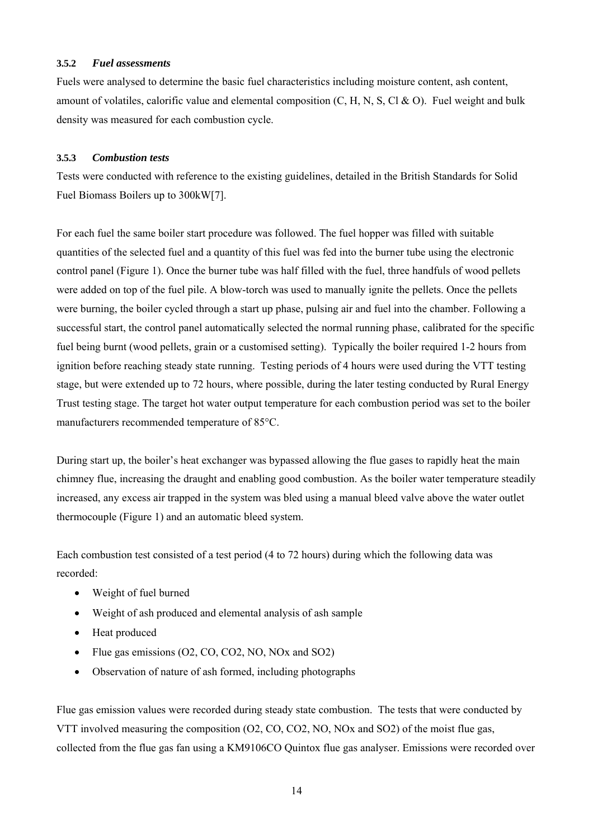#### **3.5.2** *Fuel assessments*

Fuels were analysed to determine the basic fuel characteristics including moisture content, ash content, amount of volatiles, calorific value and elemental composition (C, H, N, S, Cl & O). Fuel weight and bulk density was measured for each combustion cycle.

#### **3.5.3** *Combustion tests*

Tests were conducted with reference to the existing guidelines, detailed in the British Standards for Solid Fuel Biomass Boilers up to 300kW[7].

For each fuel the same boiler start procedure was followed. The fuel hopper was filled with suitable quantities of the selected fuel and a quantity of this fuel was fed into the burner tube using the electronic control panel (Figure 1). Once the burner tube was half filled with the fuel, three handfuls of wood pellets were added on top of the fuel pile. A blow-torch was used to manually ignite the pellets. Once the pellets were burning, the boiler cycled through a start up phase, pulsing air and fuel into the chamber. Following a successful start, the control panel automatically selected the normal running phase, calibrated for the specific fuel being burnt (wood pellets, grain or a customised setting). Typically the boiler required 1-2 hours from ignition before reaching steady state running. Testing periods of 4 hours were used during the VTT testing stage, but were extended up to 72 hours, where possible, during the later testing conducted by Rural Energy Trust testing stage. The target hot water output temperature for each combustion period was set to the boiler manufacturers recommended temperature of 85°C.

During start up, the boiler's heat exchanger was bypassed allowing the flue gases to rapidly heat the main chimney flue, increasing the draught and enabling good combustion. As the boiler water temperature steadily increased, any excess air trapped in the system was bled using a manual bleed valve above the water outlet thermocouple (Figure 1) and an automatic bleed system.

Each combustion test consisted of a test period (4 to 72 hours) during which the following data was recorded:

- Weight of fuel burned
- Weight of ash produced and elemental analysis of ash sample
- Heat produced
- Flue gas emissions (O2, CO, CO2, NO, NOx and SO2)
- Observation of nature of ash formed, including photographs

Flue gas emission values were recorded during steady state combustion. The tests that were conducted by VTT involved measuring the composition (O2, CO, CO2, NO, NOx and SO2) of the moist flue gas, collected from the flue gas fan using a KM9106CO Quintox flue gas analyser. Emissions were recorded over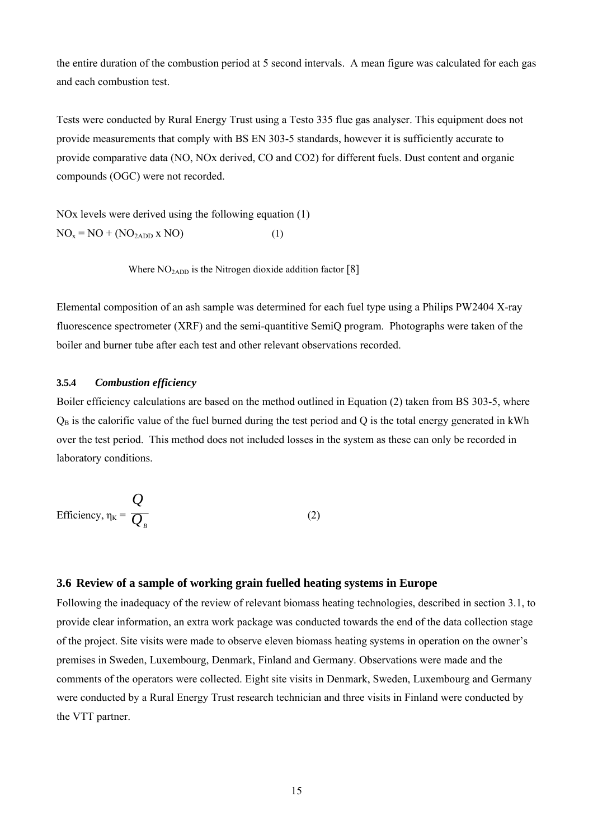the entire duration of the combustion period at 5 second intervals. A mean figure was calculated for each gas and each combustion test.

Tests were conducted by Rural Energy Trust using a Testo 335 flue gas analyser. This equipment does not provide measurements that comply with BS EN 303-5 standards, however it is sufficiently accurate to provide comparative data (NO, NOx derived, CO and CO2) for different fuels. Dust content and organic compounds (OGC) were not recorded.

NOx levels were derived using the following equation (1)  $NO<sub>x</sub> = NO + (NO<sub>2ADD</sub> x NO)$  (1)

Where  $NO<sub>2ADD</sub>$  is the Nitrogen dioxide addition factor [8]

Elemental composition of an ash sample was determined for each fuel type using a Philips PW2404 X-ray fluorescence spectrometer (XRF) and the semi-quantitive SemiQ program. Photographs were taken of the boiler and burner tube after each test and other relevant observations recorded.

#### **3.5.4** *Combustion efficiency*

Boiler efficiency calculations are based on the method outlined in Equation (2) taken from BS 303-5, where  $Q_B$  is the calorific value of the fuel burned during the test period and Q is the total energy generated in kWh over the test period. This method does not included losses in the system as these can only be recorded in laboratory conditions.

Efficiency, 
$$
\eta_K = \frac{Q}{Q_B}
$$
 (2)

#### **3.6 Review of a sample of working grain fuelled heating systems in Europe**

Following the inadequacy of the review of relevant biomass heating technologies, described in section 3.1, to provide clear information, an extra work package was conducted towards the end of the data collection stage of the project. Site visits were made to observe eleven biomass heating systems in operation on the owner's premises in Sweden, Luxembourg, Denmark, Finland and Germany. Observations were made and the comments of the operators were collected. Eight site visits in Denmark, Sweden, Luxembourg and Germany were conducted by a Rural Energy Trust research technician and three visits in Finland were conducted by the VTT partner.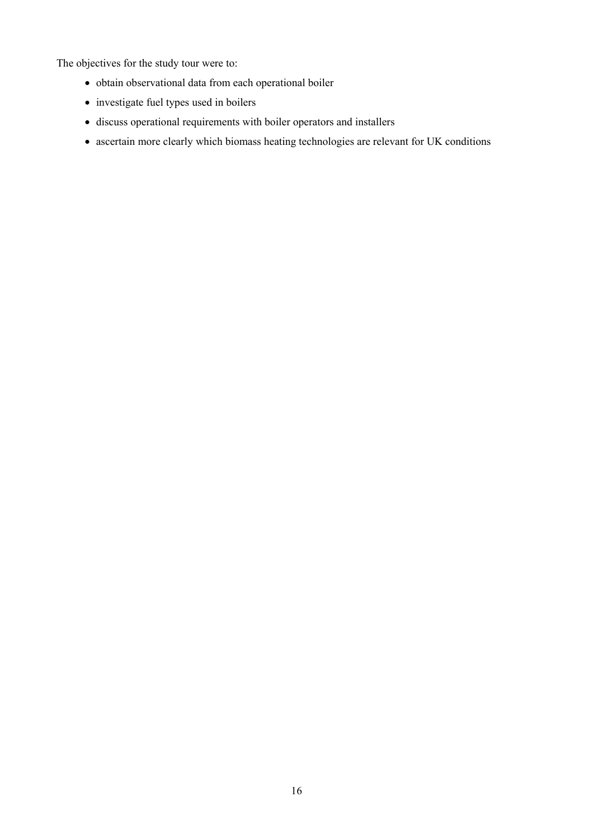The objectives for the study tour were to:

- obtain observational data from each operational boiler
- investigate fuel types used in boilers
- discuss operational requirements with boiler operators and installers
- ascertain more clearly which biomass heating technologies are relevant for UK conditions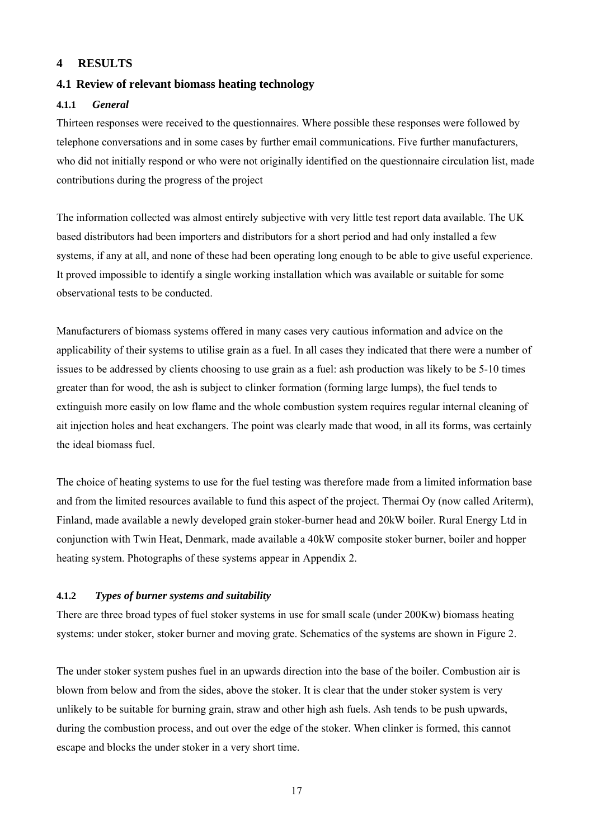#### **4 RESULTS**

#### **4.1 Review of relevant biomass heating technology**

#### **4.1.1** *General*

Thirteen responses were received to the questionnaires. Where possible these responses were followed by telephone conversations and in some cases by further email communications. Five further manufacturers, who did not initially respond or who were not originally identified on the questionnaire circulation list, made contributions during the progress of the project

The information collected was almost entirely subjective with very little test report data available. The UK based distributors had been importers and distributors for a short period and had only installed a few systems, if any at all, and none of these had been operating long enough to be able to give useful experience. It proved impossible to identify a single working installation which was available or suitable for some observational tests to be conducted.

Manufacturers of biomass systems offered in many cases very cautious information and advice on the applicability of their systems to utilise grain as a fuel. In all cases they indicated that there were a number of issues to be addressed by clients choosing to use grain as a fuel: ash production was likely to be 5-10 times greater than for wood, the ash is subject to clinker formation (forming large lumps), the fuel tends to extinguish more easily on low flame and the whole combustion system requires regular internal cleaning of ait injection holes and heat exchangers. The point was clearly made that wood, in all its forms, was certainly the ideal biomass fuel.

The choice of heating systems to use for the fuel testing was therefore made from a limited information base and from the limited resources available to fund this aspect of the project. Thermai Oy (now called Ariterm), Finland, made available a newly developed grain stoker-burner head and 20kW boiler. Rural Energy Ltd in conjunction with Twin Heat, Denmark, made available a 40kW composite stoker burner, boiler and hopper heating system. Photographs of these systems appear in Appendix 2.

#### **4.1.2** *Types of burner systems and suitability*

There are three broad types of fuel stoker systems in use for small scale (under 200Kw) biomass heating systems: under stoker, stoker burner and moving grate. Schematics of the systems are shown in Figure 2.

The under stoker system pushes fuel in an upwards direction into the base of the boiler. Combustion air is blown from below and from the sides, above the stoker. It is clear that the under stoker system is very unlikely to be suitable for burning grain, straw and other high ash fuels. Ash tends to be push upwards, during the combustion process, and out over the edge of the stoker. When clinker is formed, this cannot escape and blocks the under stoker in a very short time.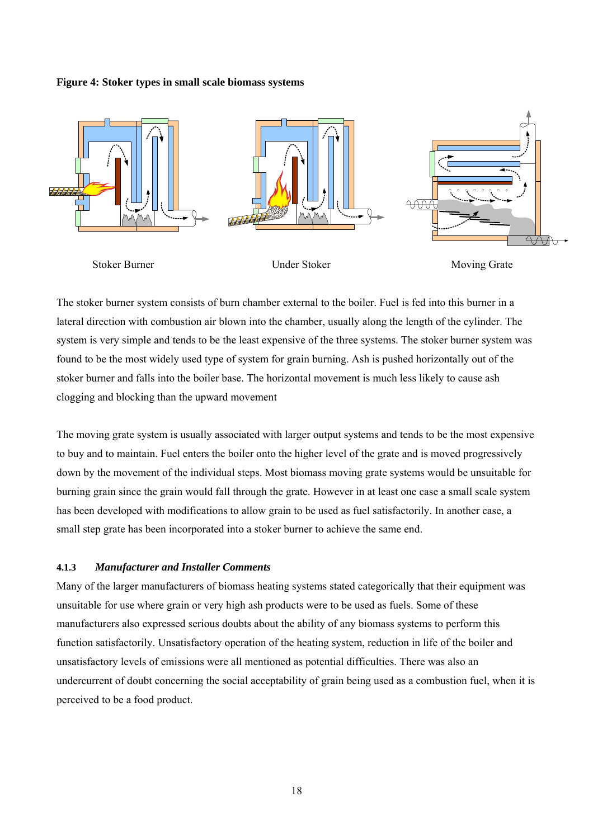#### **Figure 4: Stoker types in small scale biomass systems**



The stoker burner system consists of burn chamber external to the boiler. Fuel is fed into this burner in a lateral direction with combustion air blown into the chamber, usually along the length of the cylinder. The system is very simple and tends to be the least expensive of the three systems. The stoker burner system was found to be the most widely used type of system for grain burning. Ash is pushed horizontally out of the stoker burner and falls into the boiler base. The horizontal movement is much less likely to cause ash clogging and blocking than the upward movement

The moving grate system is usually associated with larger output systems and tends to be the most expensive to buy and to maintain. Fuel enters the boiler onto the higher level of the grate and is moved progressively down by the movement of the individual steps. Most biomass moving grate systems would be unsuitable for burning grain since the grain would fall through the grate. However in at least one case a small scale system has been developed with modifications to allow grain to be used as fuel satisfactorily. In another case, a small step grate has been incorporated into a stoker burner to achieve the same end.

#### **4.1.3** *Manufacturer and Installer Comments*

Many of the larger manufacturers of biomass heating systems stated categorically that their equipment was unsuitable for use where grain or very high ash products were to be used as fuels. Some of these manufacturers also expressed serious doubts about the ability of any biomass systems to perform this function satisfactorily. Unsatisfactory operation of the heating system, reduction in life of the boiler and unsatisfactory levels of emissions were all mentioned as potential difficulties. There was also an undercurrent of doubt concerning the social acceptability of grain being used as a combustion fuel, when it is perceived to be a food product.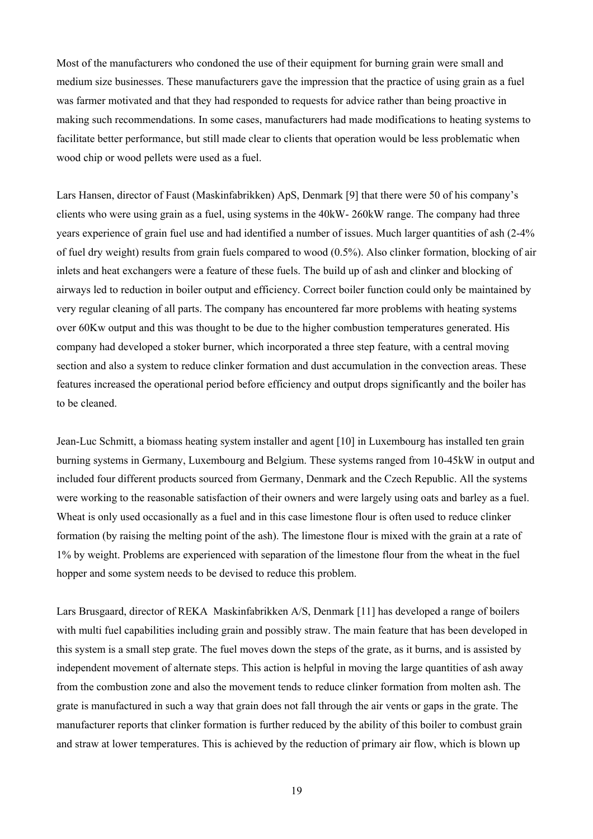Most of the manufacturers who condoned the use of their equipment for burning grain were small and medium size businesses. These manufacturers gave the impression that the practice of using grain as a fuel was farmer motivated and that they had responded to requests for advice rather than being proactive in making such recommendations. In some cases, manufacturers had made modifications to heating systems to facilitate better performance, but still made clear to clients that operation would be less problematic when wood chip or wood pellets were used as a fuel.

Lars Hansen, director of Faust (Maskinfabrikken) ApS, Denmark [9] that there were 50 of his company's clients who were using grain as a fuel, using systems in the 40kW- 260kW range. The company had three years experience of grain fuel use and had identified a number of issues. Much larger quantities of ash (2-4% of fuel dry weight) results from grain fuels compared to wood (0.5%). Also clinker formation, blocking of air inlets and heat exchangers were a feature of these fuels. The build up of ash and clinker and blocking of airways led to reduction in boiler output and efficiency. Correct boiler function could only be maintained by very regular cleaning of all parts. The company has encountered far more problems with heating systems over 60Kw output and this was thought to be due to the higher combustion temperatures generated. His company had developed a stoker burner, which incorporated a three step feature, with a central moving section and also a system to reduce clinker formation and dust accumulation in the convection areas. These features increased the operational period before efficiency and output drops significantly and the boiler has to be cleaned.

Jean-Luc Schmitt, a biomass heating system installer and agent [10] in Luxembourg has installed ten grain burning systems in Germany, Luxembourg and Belgium. These systems ranged from 10-45kW in output and included four different products sourced from Germany, Denmark and the Czech Republic. All the systems were working to the reasonable satisfaction of their owners and were largely using oats and barley as a fuel. Wheat is only used occasionally as a fuel and in this case limestone flour is often used to reduce clinker formation (by raising the melting point of the ash). The limestone flour is mixed with the grain at a rate of 1% by weight. Problems are experienced with separation of the limestone flour from the wheat in the fuel hopper and some system needs to be devised to reduce this problem.

Lars Brusgaard, director of REKA Maskinfabrikken A/S, Denmark [11] has developed a range of boilers with multi fuel capabilities including grain and possibly straw. The main feature that has been developed in this system is a small step grate. The fuel moves down the steps of the grate, as it burns, and is assisted by independent movement of alternate steps. This action is helpful in moving the large quantities of ash away from the combustion zone and also the movement tends to reduce clinker formation from molten ash. The grate is manufactured in such a way that grain does not fall through the air vents or gaps in the grate. The manufacturer reports that clinker formation is further reduced by the ability of this boiler to combust grain and straw at lower temperatures. This is achieved by the reduction of primary air flow, which is blown up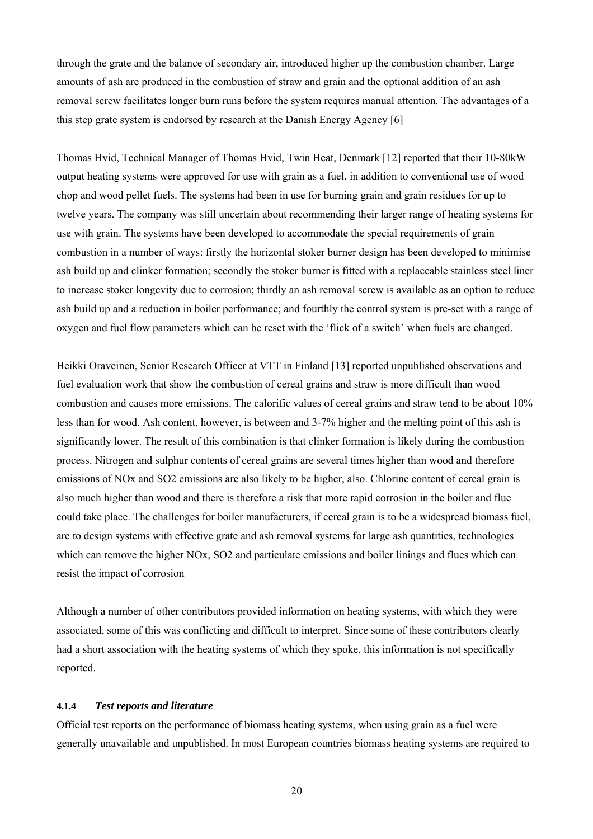through the grate and the balance of secondary air, introduced higher up the combustion chamber. Large amounts of ash are produced in the combustion of straw and grain and the optional addition of an ash removal screw facilitates longer burn runs before the system requires manual attention. The advantages of a this step grate system is endorsed by research at the Danish Energy Agency [6]

Thomas Hvid, Technical Manager of Thomas Hvid, Twin Heat, Denmark [12] reported that their 10-80kW output heating systems were approved for use with grain as a fuel, in addition to conventional use of wood chop and wood pellet fuels. The systems had been in use for burning grain and grain residues for up to twelve years. The company was still uncertain about recommending their larger range of heating systems for use with grain. The systems have been developed to accommodate the special requirements of grain combustion in a number of ways: firstly the horizontal stoker burner design has been developed to minimise ash build up and clinker formation; secondly the stoker burner is fitted with a replaceable stainless steel liner to increase stoker longevity due to corrosion; thirdly an ash removal screw is available as an option to reduce ash build up and a reduction in boiler performance; and fourthly the control system is pre-set with a range of oxygen and fuel flow parameters which can be reset with the 'flick of a switch' when fuels are changed.

Heikki Oraveinen, Senior Research Officer at VTT in Finland [13] reported unpublished observations and fuel evaluation work that show the combustion of cereal grains and straw is more difficult than wood combustion and causes more emissions. The calorific values of cereal grains and straw tend to be about 10% less than for wood. Ash content, however, is between and 3-7% higher and the melting point of this ash is significantly lower. The result of this combination is that clinker formation is likely during the combustion process. Nitrogen and sulphur contents of cereal grains are several times higher than wood and therefore emissions of NOx and SO2 emissions are also likely to be higher, also. Chlorine content of cereal grain is also much higher than wood and there is therefore a risk that more rapid corrosion in the boiler and flue could take place. The challenges for boiler manufacturers, if cereal grain is to be a widespread biomass fuel, are to design systems with effective grate and ash removal systems for large ash quantities, technologies which can remove the higher NOx, SO2 and particulate emissions and boiler linings and flues which can resist the impact of corrosion

Although a number of other contributors provided information on heating systems, with which they were associated, some of this was conflicting and difficult to interpret. Since some of these contributors clearly had a short association with the heating systems of which they spoke, this information is not specifically reported.

#### **4.1.4** *Test reports and literature*

Official test reports on the performance of biomass heating systems, when using grain as a fuel were generally unavailable and unpublished. In most European countries biomass heating systems are required to

20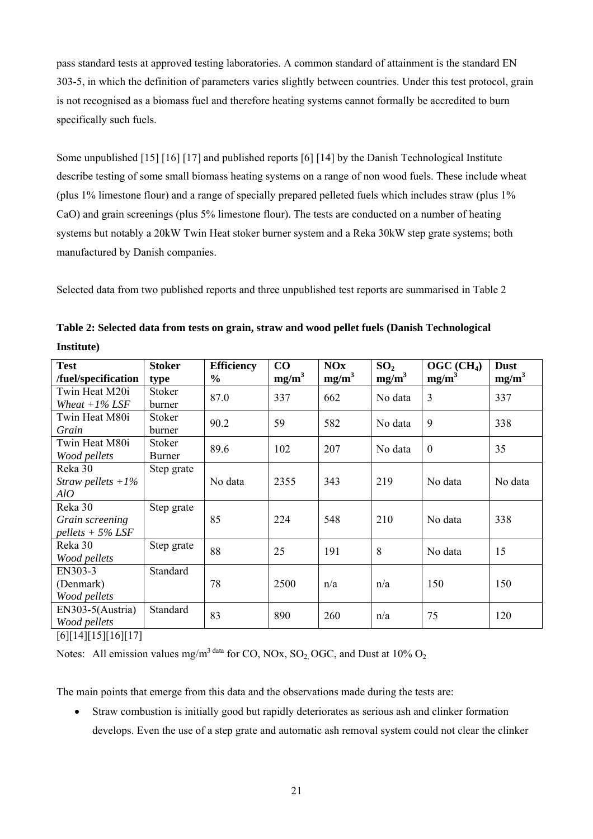pass standard tests at approved testing laboratories. A common standard of attainment is the standard EN 303-5, in which the definition of parameters varies slightly between countries. Under this test protocol, grain is not recognised as a biomass fuel and therefore heating systems cannot formally be accredited to burn specifically such fuels.

Some unpublished [15] [16] [17] and published reports [6] [14] by the Danish Technological Institute describe testing of some small biomass heating systems on a range of non wood fuels. These include wheat (plus 1% limestone flour) and a range of specially prepared pelleted fuels which includes straw (plus 1% CaO) and grain screenings (plus 5% limestone flour). The tests are conducted on a number of heating systems but notably a 20kW Twin Heat stoker burner system and a Reka 30kW step grate systems; both manufactured by Danish companies.

Selected data from two published reports and three unpublished test reports are summarised in Table 2

| <b>Test</b>                           | <b>Stoker</b> | <b>Efficiency</b> | $\bf CO$ | <b>NOx</b> | SO <sub>2</sub> | $OGC$ (CH <sub>4</sub> ) | <b>Dust</b>       |
|---------------------------------------|---------------|-------------------|----------|------------|-----------------|--------------------------|-------------------|
| /fuel/specification                   | type          | $\frac{6}{9}$     | $mg/m^3$ | $mg/m^3$   | $mg/m^3$        | $mg/m^3$                 | mg/m <sup>3</sup> |
| Twin Heat M20i                        | Stoker        | 87.0              | 337      | 662        | No data         | $\overline{3}$           | 337               |
| Wheat $+1\%$ LSF                      | burner        |                   |          |            |                 |                          |                   |
| Twin Heat M80i                        | Stoker        | 90.2              | 59       | 582        |                 | 9                        | 338               |
| Grain                                 | burner        |                   |          |            | No data         |                          |                   |
| Twin Heat M80i                        | Stoker        | 89.6              | 102      | 207        | No data         | $\boldsymbol{0}$         | 35                |
| Wood pellets                          | Burner        |                   |          |            |                 |                          |                   |
| Reka 30                               | Step grate    |                   |          |            |                 |                          |                   |
| Straw pellets $+1\%$                  |               | No data           | 2355     | 343        | 219             | No data                  | No data           |
| AIO                                   |               |                   |          |            |                 |                          |                   |
| Reka 30                               | Step grate    |                   |          |            |                 |                          |                   |
| Grain screening                       |               | 85                | 224      | 548        | 210             | No data                  | 338               |
| $pellets + 5\% LSF$                   |               |                   |          |            |                 |                          |                   |
| Reka 30                               | Step grate    | 88                | 25       | 191        | 8               | No data                  | 15                |
| Wood pellets                          |               |                   |          |            |                 |                          |                   |
| EN303-3                               | Standard      |                   |          |            |                 |                          |                   |
| (Denmark)                             |               | 78                | 2500     | n/a        | n/a             | 150                      | 150               |
| Wood pellets                          |               |                   |          |            |                 |                          |                   |
| EN303-5(Austria)                      | Standard      | 83                | 890      | 260        | n/a             | 75                       | 120               |
| Wood pellets                          |               |                   |          |            |                 |                          |                   |
| F / 1 F 1 A 1 F 1 F 1 F 1 A 1 F 1 A 1 |               |                   |          |            |                 |                          |                   |

**Table 2: Selected data from tests on grain, straw and wood pellet fuels (Danish Technological Institute)** 

[6][14][15][16][17]

Notes: All emission values mg/m<sup>3 data</sup> for CO, NOx, SO<sub>2</sub> OGC, and Dust at 10% O<sub>2</sub>

The main points that emerge from this data and the observations made during the tests are:

• Straw combustion is initially good but rapidly deteriorates as serious ash and clinker formation develops. Even the use of a step grate and automatic ash removal system could not clear the clinker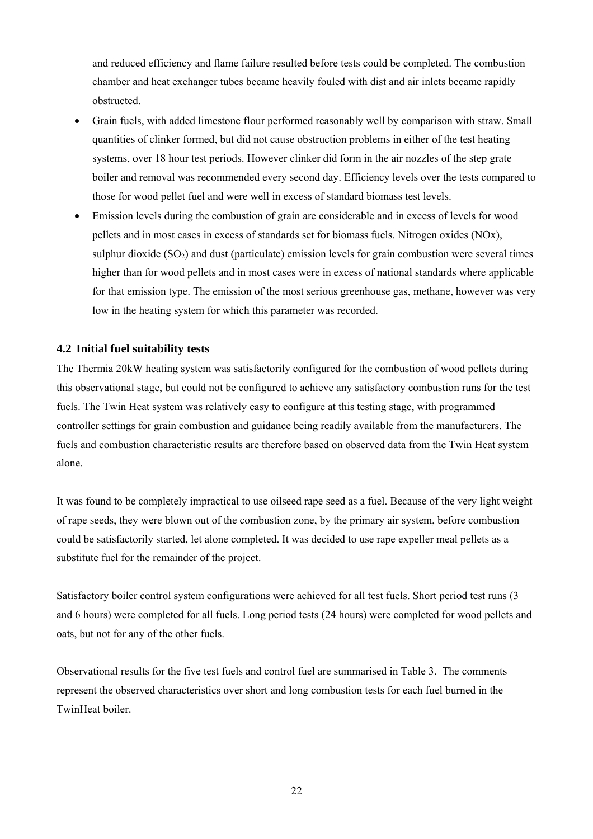and reduced efficiency and flame failure resulted before tests could be completed. The combustion chamber and heat exchanger tubes became heavily fouled with dist and air inlets became rapidly obstructed.

- Grain fuels, with added limestone flour performed reasonably well by comparison with straw. Small quantities of clinker formed, but did not cause obstruction problems in either of the test heating systems, over 18 hour test periods. However clinker did form in the air nozzles of the step grate boiler and removal was recommended every second day. Efficiency levels over the tests compared to those for wood pellet fuel and were well in excess of standard biomass test levels.
- Emission levels during the combustion of grain are considerable and in excess of levels for wood pellets and in most cases in excess of standards set for biomass fuels. Nitrogen oxides (NOx), sulphur dioxide  $(SO<sub>2</sub>)$  and dust (particulate) emission levels for grain combustion were several times higher than for wood pellets and in most cases were in excess of national standards where applicable for that emission type. The emission of the most serious greenhouse gas, methane, however was very low in the heating system for which this parameter was recorded.

# **4.2 Initial fuel suitability tests**

The Thermia 20kW heating system was satisfactorily configured for the combustion of wood pellets during this observational stage, but could not be configured to achieve any satisfactory combustion runs for the test fuels. The Twin Heat system was relatively easy to configure at this testing stage, with programmed controller settings for grain combustion and guidance being readily available from the manufacturers. The fuels and combustion characteristic results are therefore based on observed data from the Twin Heat system alone.

It was found to be completely impractical to use oilseed rape seed as a fuel. Because of the very light weight of rape seeds, they were blown out of the combustion zone, by the primary air system, before combustion could be satisfactorily started, let alone completed. It was decided to use rape expeller meal pellets as a substitute fuel for the remainder of the project.

Satisfactory boiler control system configurations were achieved for all test fuels. Short period test runs (3 and 6 hours) were completed for all fuels. Long period tests (24 hours) were completed for wood pellets and oats, but not for any of the other fuels.

Observational results for the five test fuels and control fuel are summarised in Table 3. The comments represent the observed characteristics over short and long combustion tests for each fuel burned in the TwinHeat boiler.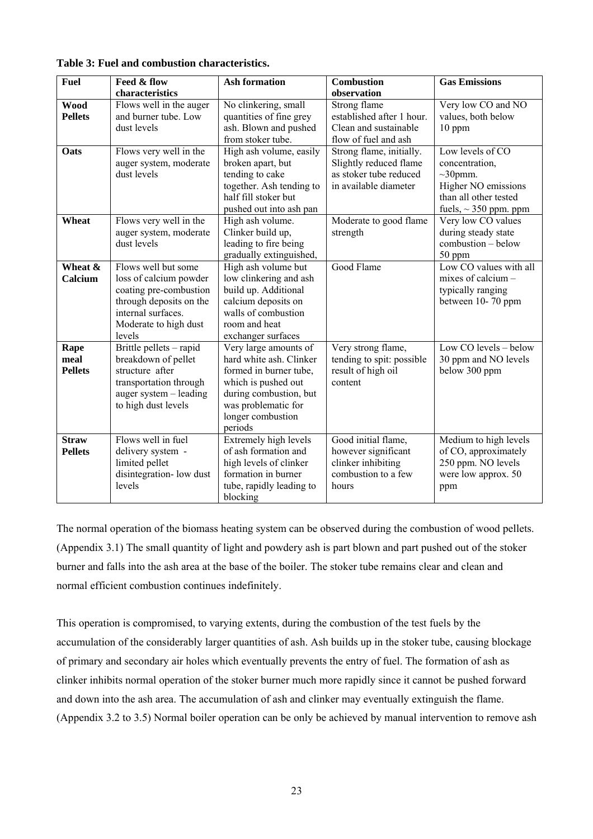| <b>Fuel</b>    | Feed & flow             | <b>Ash formation</b>     | <b>Combustion</b>         | <b>Gas Emissions</b>       |
|----------------|-------------------------|--------------------------|---------------------------|----------------------------|
|                | characteristics         |                          | observation               |                            |
| <b>Wood</b>    | Flows well in the auger | No clinkering, small     | Strong flame              | Very low CO and NO         |
| <b>Pellets</b> | and burner tube. Low    | quantities of fine grey  | established after 1 hour. | values, both below         |
|                | dust levels             | ash. Blown and pushed    | Clean and sustainable     | 10 ppm                     |
|                |                         | from stoker tube.        | flow of fuel and ash      |                            |
| Oats           | Flows very well in the  | High ash volume, easily  | Strong flame, initially.  | Low levels of CO           |
|                | auger system, moderate  | broken apart, but        | Slightly reduced flame    | concentration,             |
|                | dust levels             | tending to cake          | as stoker tube reduced    | $\sim$ 30pmm.              |
|                |                         | together. Ash tending to | in available diameter     | Higher NO emissions        |
|                |                         | half fill stoker but     |                           | than all other tested      |
|                |                         | pushed out into ash pan  |                           | fuels, $\sim$ 350 ppm. ppm |
| Wheat          | Flows very well in the  | High ash volume.         | Moderate to good flame    | Very low CO values         |
|                | auger system, moderate  | Clinker build up,        | strength                  | during steady state        |
|                | dust levels             | leading to fire being    |                           | combustion - below         |
|                |                         | gradually extinguished,  |                           | 50 ppm                     |
| Wheat &        | Flows well but some     | High ash volume but      | Good Flame                | Low CO values with all     |
| Calcium        | loss of calcium powder  | low clinkering and ash   |                           | mixes of calcium -         |
|                | coating pre-combustion  | build up. Additional     |                           | typically ranging          |
|                | through deposits on the | calcium deposits on      |                           | between 10-70 ppm          |
|                | internal surfaces.      | walls of combustion      |                           |                            |
|                | Moderate to high dust   | room and heat            |                           |                            |
|                | levels                  | exchanger surfaces       |                           |                            |
| Rape           | Brittle pellets - rapid | Very large amounts of    | Very strong flame,        | Low CO levels - below      |
| meal           | breakdown of pellet     | hard white ash. Clinker  | tending to spit: possible | 30 ppm and NO levels       |
| <b>Pellets</b> | structure after         | formed in burner tube,   | result of high oil        | below 300 ppm              |
|                | transportation through  | which is pushed out      | content                   |                            |
|                | auger system - leading  | during combustion, but   |                           |                            |
|                | to high dust levels     | was problematic for      |                           |                            |
|                |                         | longer combustion        |                           |                            |
|                |                         | periods                  |                           |                            |
| <b>Straw</b>   | Flows well in fuel      | Extremely high levels    | Good initial flame,       | Medium to high levels      |
| <b>Pellets</b> | delivery system -       | of ash formation and     | however significant       | of CO, approximately       |
|                | limited pellet          | high levels of clinker   | clinker inhibiting        | 250 ppm. NO levels         |
|                | disintegration-low dust | formation in burner      | combustion to a few       | were low approx. 50        |
|                | levels                  | tube, rapidly leading to | hours                     | ppm                        |
|                |                         | blocking                 |                           |                            |

**Table 3: Fuel and combustion characteristics.** 

The normal operation of the biomass heating system can be observed during the combustion of wood pellets. (Appendix 3.1) The small quantity of light and powdery ash is part blown and part pushed out of the stoker burner and falls into the ash area at the base of the boiler. The stoker tube remains clear and clean and normal efficient combustion continues indefinitely.

This operation is compromised, to varying extents, during the combustion of the test fuels by the accumulation of the considerably larger quantities of ash. Ash builds up in the stoker tube, causing blockage of primary and secondary air holes which eventually prevents the entry of fuel. The formation of ash as clinker inhibits normal operation of the stoker burner much more rapidly since it cannot be pushed forward and down into the ash area. The accumulation of ash and clinker may eventually extinguish the flame. (Appendix 3.2 to 3.5) Normal boiler operation can be only be achieved by manual intervention to remove ash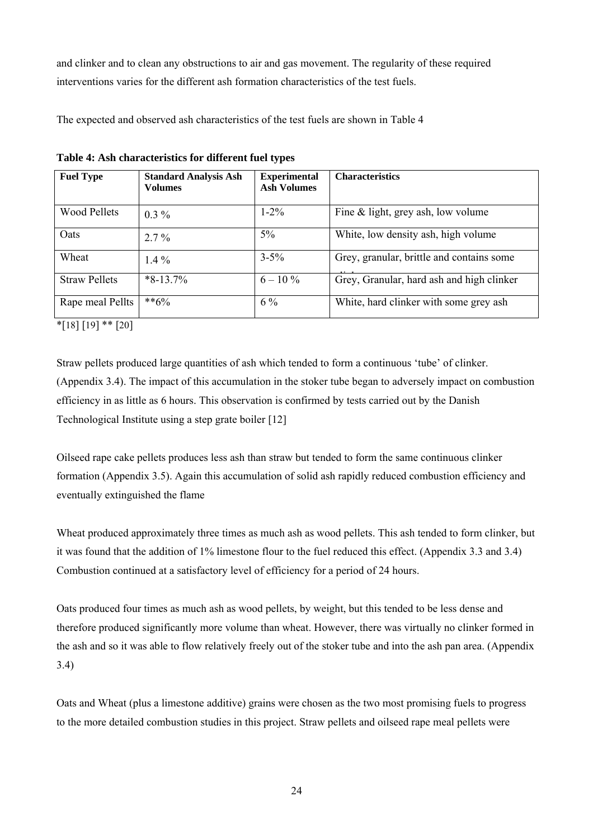and clinker and to clean any obstructions to air and gas movement. The regularity of these required interventions varies for the different ash formation characteristics of the test fuels.

The expected and observed ash characteristics of the test fuels are shown in Table 4

| <b>Fuel Type</b>     | <b>Standard Analysis Ash</b><br><b>Volumes</b> | <b>Experimental</b><br><b>Ash Volumes</b> | <b>Characteristics</b>                    |
|----------------------|------------------------------------------------|-------------------------------------------|-------------------------------------------|
| <b>Wood Pellets</b>  | $0.3\%$                                        | $1 - 2\%$                                 | Fine $&$ light, grey ash, low volume      |
| Oats                 | $2.7\%$                                        | $5\%$                                     | White, low density ash, high volume       |
| Wheat                | $1.4\%$                                        | $3 - 5\%$                                 | Grey, granular, brittle and contains some |
| <b>Straw Pellets</b> | $*8-13.7\%$                                    | $6 - 10\%$                                | Grey, Granular, hard ash and high clinker |
| Rape meal Pellts     | $**6\%$                                        | $6\%$                                     | White, hard clinker with some grey ash    |

**Table 4: Ash characteristics for different fuel types** 

 $*$ [18] [19]  $**$  [20]

Straw pellets produced large quantities of ash which tended to form a continuous 'tube' of clinker. (Appendix 3.4). The impact of this accumulation in the stoker tube began to adversely impact on combustion efficiency in as little as 6 hours. This observation is confirmed by tests carried out by the Danish Technological Institute using a step grate boiler [12]

Oilseed rape cake pellets produces less ash than straw but tended to form the same continuous clinker formation (Appendix 3.5). Again this accumulation of solid ash rapidly reduced combustion efficiency and eventually extinguished the flame

Wheat produced approximately three times as much ash as wood pellets. This ash tended to form clinker, but it was found that the addition of 1% limestone flour to the fuel reduced this effect. (Appendix 3.3 and 3.4) Combustion continued at a satisfactory level of efficiency for a period of 24 hours.

Oats produced four times as much ash as wood pellets, by weight, but this tended to be less dense and therefore produced significantly more volume than wheat. However, there was virtually no clinker formed in the ash and so it was able to flow relatively freely out of the stoker tube and into the ash pan area. (Appendix 3.4)

Oats and Wheat (plus a limestone additive) grains were chosen as the two most promising fuels to progress to the more detailed combustion studies in this project. Straw pellets and oilseed rape meal pellets were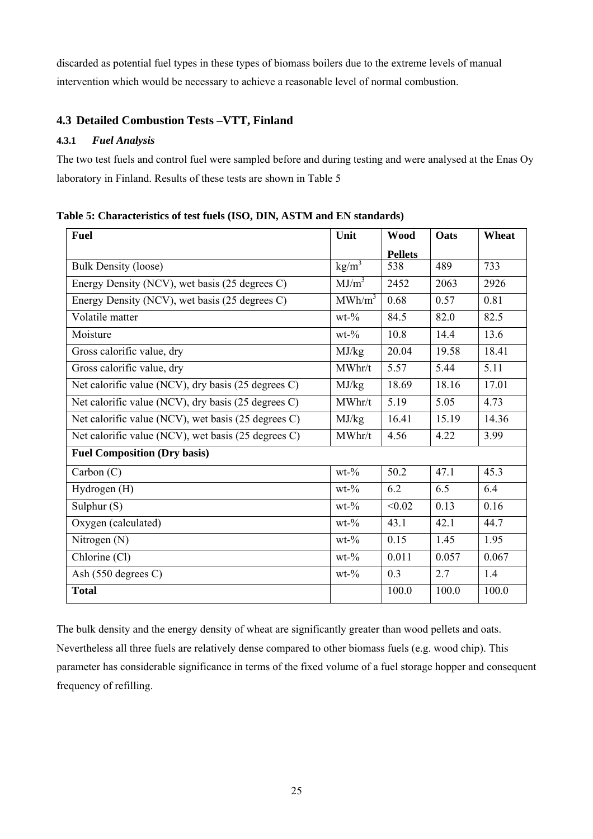discarded as potential fuel types in these types of biomass boilers due to the extreme levels of manual intervention which would be necessary to achieve a reasonable level of normal combustion.

# **4.3 Detailed Combustion Tests –VTT, Finland**

# **4.3.1** *Fuel Analysis*

The two test fuels and control fuel were sampled before and during testing and were analysed at the Enas Oy laboratory in Finland. Results of these tests are shown in Table 5

| <b>Fuel</b>                                         | Unit               | <b>Wood</b>    | Oats  | Wheat |
|-----------------------------------------------------|--------------------|----------------|-------|-------|
|                                                     |                    | <b>Pellets</b> |       |       |
| <b>Bulk Density (loose)</b>                         | $\text{kg/m}^3$    | 538            | 489   | 733   |
| Energy Density (NCV), wet basis (25 degrees C)      | MJ/m <sup>3</sup>  | 2452           | 2063  | 2926  |
| Energy Density (NCV), wet basis (25 degrees C)      | MWh/m <sup>3</sup> | 0.68           | 0.57  | 0.81  |
| Volatile matter                                     | $wt-0$             | 84.5           | 82.0  | 82.5  |
| Moisture                                            | $wt-0$             | 10.8           | 14.4  | 13.6  |
| Gross calorific value, dry                          | MJ/kg              | 20.04          | 19.58 | 18.41 |
| Gross calorific value, dry                          | MWhr/t             | 5.57           | 5.44  | 5.11  |
| Net calorific value (NCV), dry basis (25 degrees C) | MJ/kg              | 18.69          | 18.16 | 17.01 |
| Net calorific value (NCV), dry basis (25 degrees C) | MWhr/t             | 5.19           | 5.05  | 4.73  |
| Net calorific value (NCV), wet basis (25 degrees C) | MJ/kg              | 16.41          | 15.19 | 14.36 |
| Net calorific value (NCV), wet basis (25 degrees C) | MWhr/t             | 4.56           | 4.22  | 3.99  |
| <b>Fuel Composition (Dry basis)</b>                 |                    |                |       |       |
| Carbon $(C)$                                        | $wt-0$             | 50.2           | 47.1  | 45.3  |
| Hydrogen (H)                                        | $wt-0/o$           | 6.2            | 6.5   | 6.4   |
| Sulphur (S)                                         | $wt-9$             | < 0.02         | 0.13  | 0.16  |
| Oxygen (calculated)                                 | $wt-0$             | 43.1           | 42.1  | 44.7  |
| Nitrogen (N)                                        | $wt-0/o$           | 0.15           | 1.45  | 1.95  |
| Chlorine (Cl)                                       | $wt-0/0$           | 0.011          | 0.057 | 0.067 |
| Ash (550 degrees C)                                 | $wt-0$             | 0.3            | 2.7   | 1.4   |
| <b>Total</b>                                        |                    | 100.0          | 100.0 | 100.0 |

**Table 5: Characteristics of test fuels (ISO, DIN, ASTM and EN standards)** 

The bulk density and the energy density of wheat are significantly greater than wood pellets and oats. Nevertheless all three fuels are relatively dense compared to other biomass fuels (e.g. wood chip). This parameter has considerable significance in terms of the fixed volume of a fuel storage hopper and consequent frequency of refilling.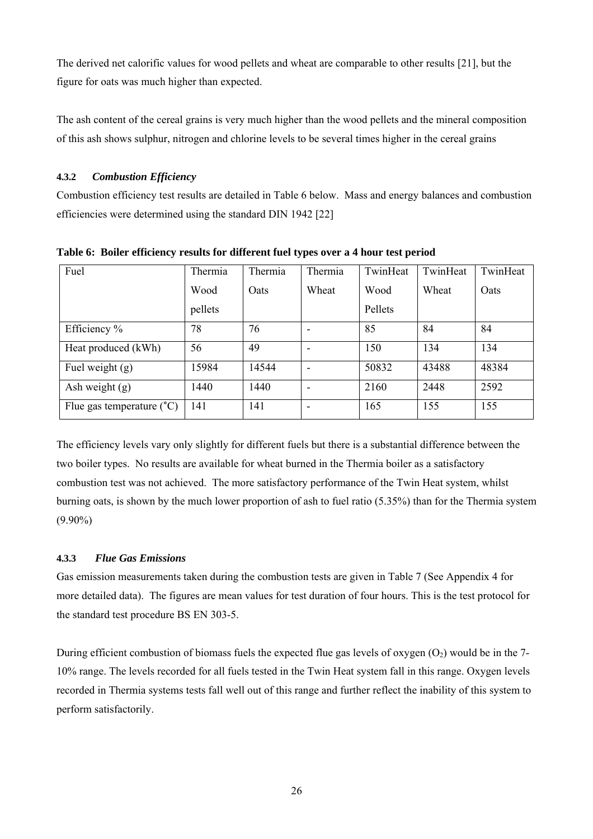The derived net calorific values for wood pellets and wheat are comparable to other results [21], but the figure for oats was much higher than expected.

The ash content of the cereal grains is very much higher than the wood pellets and the mineral composition of this ash shows sulphur, nitrogen and chlorine levels to be several times higher in the cereal grains

# **4.3.2** *Combustion Efficiency*

Combustion efficiency test results are detailed in Table 6 below. Mass and energy balances and combustion efficiencies were determined using the standard DIN 1942 [22]

| Fuel                               | Thermia | Thermia | Thermia                  | TwinHeat | TwinHeat | TwinHeat |
|------------------------------------|---------|---------|--------------------------|----------|----------|----------|
|                                    | Wood    | Oats    | Wheat                    | Wood     | Wheat    | Oats     |
|                                    | pellets |         |                          | Pellets  |          |          |
| Efficiency %                       | 78      | 76      |                          | 85       | 84       | 84       |
| Heat produced (kWh)                | 56      | 49      | $\overline{\phantom{a}}$ | 150      | 134      | 134      |
| Fuel weight $(g)$                  | 15984   | 14544   | $\overline{\phantom{a}}$ | 50832    | 43488    | 48384    |
| Ash weight $(g)$                   | 1440    | 1440    | $\overline{\phantom{a}}$ | 2160     | 2448     | 2592     |
| Flue gas temperature $(^{\circ}C)$ | 141     | 141     |                          | 165      | 155      | 155      |

**Table 6: Boiler efficiency results for different fuel types over a 4 hour test period** 

The efficiency levels vary only slightly for different fuels but there is a substantial difference between the two boiler types. No results are available for wheat burned in the Thermia boiler as a satisfactory combustion test was not achieved. The more satisfactory performance of the Twin Heat system, whilst burning oats, is shown by the much lower proportion of ash to fuel ratio (5.35%) than for the Thermia system (9.90%)

# **4.3.3** *Flue Gas Emissions*

Gas emission measurements taken during the combustion tests are given in Table 7 (See Appendix 4 for more detailed data). The figures are mean values for test duration of four hours. This is the test protocol for the standard test procedure BS EN 303-5.

During efficient combustion of biomass fuels the expected flue gas levels of oxygen  $(O_2)$  would be in the 7-10% range. The levels recorded for all fuels tested in the Twin Heat system fall in this range. Oxygen levels recorded in Thermia systems tests fall well out of this range and further reflect the inability of this system to perform satisfactorily.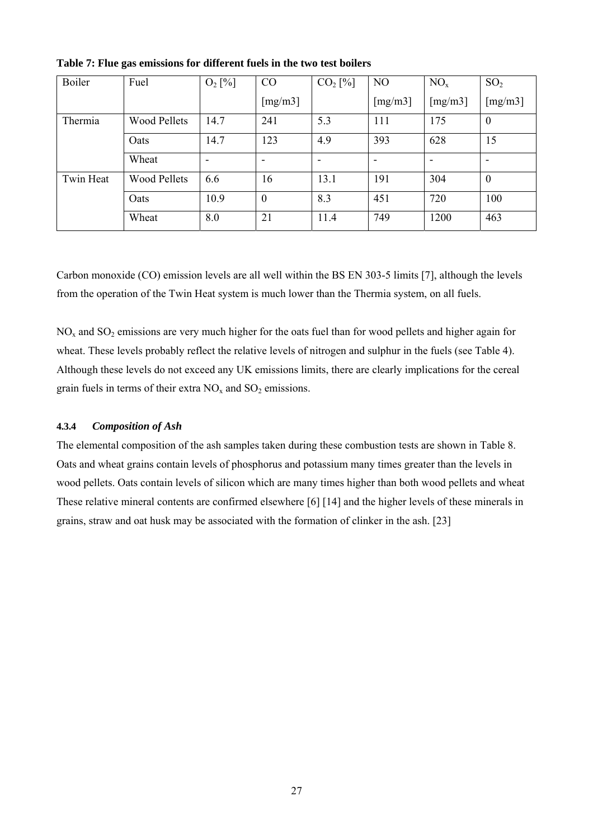| Boiler    | Fuel                | $O_2$ [%] | CO                       | $CO2$ [%] | NO                       | NO <sub>x</sub> | SO <sub>2</sub>  |
|-----------|---------------------|-----------|--------------------------|-----------|--------------------------|-----------------|------------------|
|           |                     |           | [mg/m3]                  |           | [ $mg/m3$ ]              | [mg/m3]         | [mg/m3]          |
| Thermia   | <b>Wood Pellets</b> | 14.7      | 241                      | 5.3       | 111                      | 175             | $\boldsymbol{0}$ |
|           | Oats                | 14.7      | 123                      | 4.9       | 393                      | 628             | 15               |
|           | Wheat               | ۰         | $\overline{\phantom{a}}$ |           | $\overline{\phantom{0}}$ | -               |                  |
| Twin Heat | <b>Wood Pellets</b> | 6.6       | 16                       | 13.1      | 191                      | 304             | $\overline{0}$   |
|           | Oats                | 10.9      | $\overline{0}$           | 8.3       | 451                      | 720             | 100              |
|           | Wheat               | 8.0       | 21                       | 11.4      | 749                      | 1200            | 463              |

**Table 7: Flue gas emissions for different fuels in the two test boilers** 

Carbon monoxide (CO) emission levels are all well within the BS EN 303-5 limits [7], although the levels from the operation of the Twin Heat system is much lower than the Thermia system, on all fuels.

 $NO<sub>x</sub>$  and  $SO<sub>2</sub>$  emissions are very much higher for the oats fuel than for wood pellets and higher again for wheat. These levels probably reflect the relative levels of nitrogen and sulphur in the fuels (see Table 4). Although these levels do not exceed any UK emissions limits, there are clearly implications for the cereal grain fuels in terms of their extra  $NO<sub>x</sub>$  and  $SO<sub>2</sub>$  emissions.

#### **4.3.4** *Composition of Ash*

The elemental composition of the ash samples taken during these combustion tests are shown in Table 8. Oats and wheat grains contain levels of phosphorus and potassium many times greater than the levels in wood pellets. Oats contain levels of silicon which are many times higher than both wood pellets and wheat These relative mineral contents are confirmed elsewhere [6] [14] and the higher levels of these minerals in grains, straw and oat husk may be associated with the formation of clinker in the ash. [23]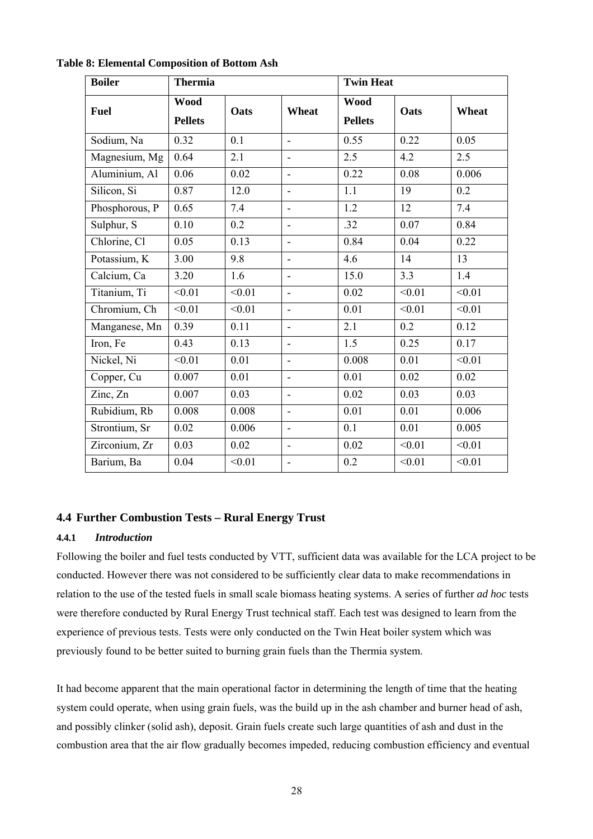| <b>Boiler</b>  | <b>Thermia</b>                |        |                              | <b>Twin Heat</b>              |        |        |
|----------------|-------------------------------|--------|------------------------------|-------------------------------|--------|--------|
| <b>Fuel</b>    | <b>Wood</b><br><b>Pellets</b> | Oats   | Wheat                        | <b>Wood</b><br><b>Pellets</b> | Oats   | Wheat  |
| Sodium, Na     | 0.32                          | 0.1    | ÷,                           | 0.55                          | 0.22   | 0.05   |
| Magnesium, Mg  | 0.64                          | 2.1    | ÷,                           | 2.5                           | 4.2    | 2.5    |
| Aluminium, Al  | 0.06                          | 0.02   | $\overline{\phantom{0}}$     | 0.22                          | 0.08   | 0.006  |
| Silicon, Si    | 0.87                          | 12.0   | $\overline{\phantom{0}}$     | 1.1                           | 19     | 0.2    |
| Phosphorous, P | 0.65                          | 7.4    | ٠                            | 1.2                           | 12     | 7.4    |
| Sulphur, S     | 0.10                          | 0.2    | ä,                           | .32                           | 0.07   | 0.84   |
| Chlorine, Cl   | 0.05                          | 0.13   | $\overline{a}$               | 0.84                          | 0.04   | 0.22   |
| Potassium, K   | 3.00                          | 9.8    | $\overline{\phantom{a}}$     | 4.6                           | 14     | 13     |
| Calcium, Ca    | 3.20                          | 1.6    | $\overline{\phantom{a}}$     | 15.0                          | 3.3    | 1.4    |
| Titanium, Ti   | < 0.01                        | < 0.01 | $\overline{\phantom{0}}$     | 0.02                          | < 0.01 | < 0.01 |
| Chromium, Ch   | < 0.01                        | < 0.01 | $\overline{\phantom{0}}$     | 0.01                          | < 0.01 | < 0.01 |
| Manganese, Mn  | 0.39                          | 0.11   | $\overline{a}$               | 2.1                           | 0.2    | 0.12   |
| Iron, Fe       | 0.43                          | 0.13   | $\overline{\phantom{0}}$     | 1.5                           | 0.25   | 0.17   |
| Nickel, Ni     | < 0.01                        | 0.01   | $\overline{a}$               | 0.008                         | 0.01   | < 0.01 |
| Copper, Cu     | 0.007                         | 0.01   | $\overline{\phantom{0}}$     | 0.01                          | 0.02   | 0.02   |
| Zinc, Zn       | 0.007                         | 0.03   | $\overline{a}$               | 0.02                          | 0.03   | 0.03   |
| Rubidium, Rb   | 0.008                         | 0.008  | ÷,                           | 0.01                          | 0.01   | 0.006  |
| Strontium, Sr  | 0.02                          | 0.006  | ÷,                           | 0.1                           | 0.01   | 0.005  |
| Zirconium, Zr  | 0.03                          | 0.02   | ÷,                           | 0.02                          | < 0.01 | < 0.01 |
| Barium, Ba     | 0.04                          | < 0.01 | $\qquad \qquad \blacksquare$ | 0.2                           | < 0.01 | < 0.01 |

**Table 8: Elemental Composition of Bottom Ash** 

# **4.4 Further Combustion Tests – Rural Energy Trust**

#### **4.4.1** *Introduction*

Following the boiler and fuel tests conducted by VTT, sufficient data was available for the LCA project to be conducted. However there was not considered to be sufficiently clear data to make recommendations in relation to the use of the tested fuels in small scale biomass heating systems. A series of further *ad hoc* tests were therefore conducted by Rural Energy Trust technical staff. Each test was designed to learn from the experience of previous tests. Tests were only conducted on the Twin Heat boiler system which was previously found to be better suited to burning grain fuels than the Thermia system.

It had become apparent that the main operational factor in determining the length of time that the heating system could operate, when using grain fuels, was the build up in the ash chamber and burner head of ash, and possibly clinker (solid ash), deposit. Grain fuels create such large quantities of ash and dust in the combustion area that the air flow gradually becomes impeded, reducing combustion efficiency and eventual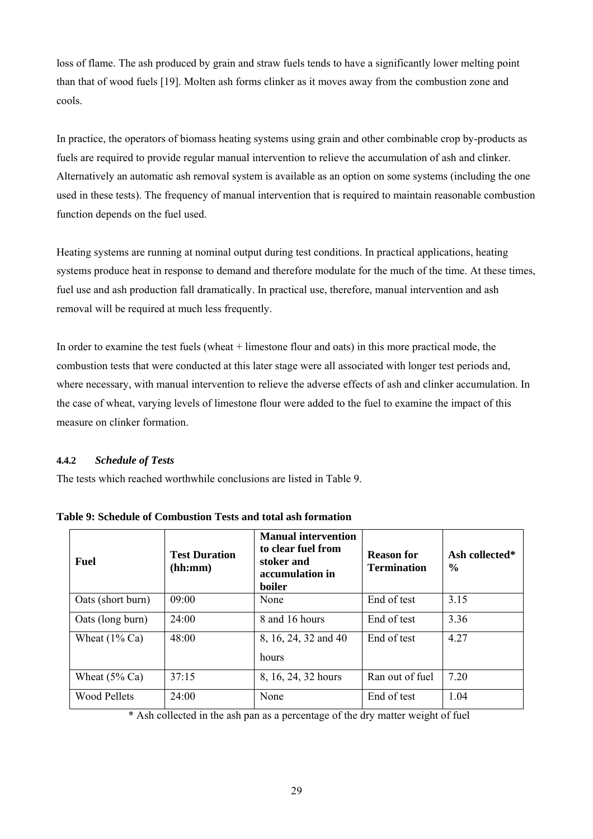loss of flame. The ash produced by grain and straw fuels tends to have a significantly lower melting point than that of wood fuels [19]. Molten ash forms clinker as it moves away from the combustion zone and cools.

In practice, the operators of biomass heating systems using grain and other combinable crop by-products as fuels are required to provide regular manual intervention to relieve the accumulation of ash and clinker. Alternatively an automatic ash removal system is available as an option on some systems (including the one used in these tests). The frequency of manual intervention that is required to maintain reasonable combustion function depends on the fuel used.

Heating systems are running at nominal output during test conditions. In practical applications, heating systems produce heat in response to demand and therefore modulate for the much of the time. At these times, fuel use and ash production fall dramatically. In practical use, therefore, manual intervention and ash removal will be required at much less frequently.

In order to examine the test fuels (wheat + limestone flour and oats) in this more practical mode, the combustion tests that were conducted at this later stage were all associated with longer test periods and, where necessary, with manual intervention to relieve the adverse effects of ash and clinker accumulation. In the case of wheat, varying levels of limestone flour were added to the fuel to examine the impact of this measure on clinker formation.

# **4.4.2** *Schedule of Tests*

The tests which reached worthwhile conclusions are listed in Table 9.

| <b>Fuel</b>              | <b>Test Duration</b><br>(hh:mm) | <b>Manual intervention</b><br>to clear fuel from<br>stoker and<br>accumulation in<br>boiler | <b>Reason for</b><br><b>Termination</b> | Ash collected*<br>$\frac{0}{0}$ |
|--------------------------|---------------------------------|---------------------------------------------------------------------------------------------|-----------------------------------------|---------------------------------|
| Oats (short burn)        | 09:00                           | None                                                                                        | End of test                             | 3.15                            |
| Oats (long burn)         | 24:00                           | 8 and 16 hours                                                                              | End of test                             | 3.36                            |
| Wheat $(1\% \text{ Ca})$ | 48:00                           | 8, 16, 24, 32 and 40<br>hours                                                               | End of test                             | 4.27                            |
| Wheat $(5\%$ Ca)         | 37:15                           | 8, 16, 24, 32 hours                                                                         | Ran out of fuel                         | 7.20                            |
| <b>Wood Pellets</b>      | 24:00                           | None                                                                                        | End of test                             | 1.04                            |

**Table 9: Schedule of Combustion Tests and total ash formation** 

\* Ash collected in the ash pan as a percentage of the dry matter weight of fuel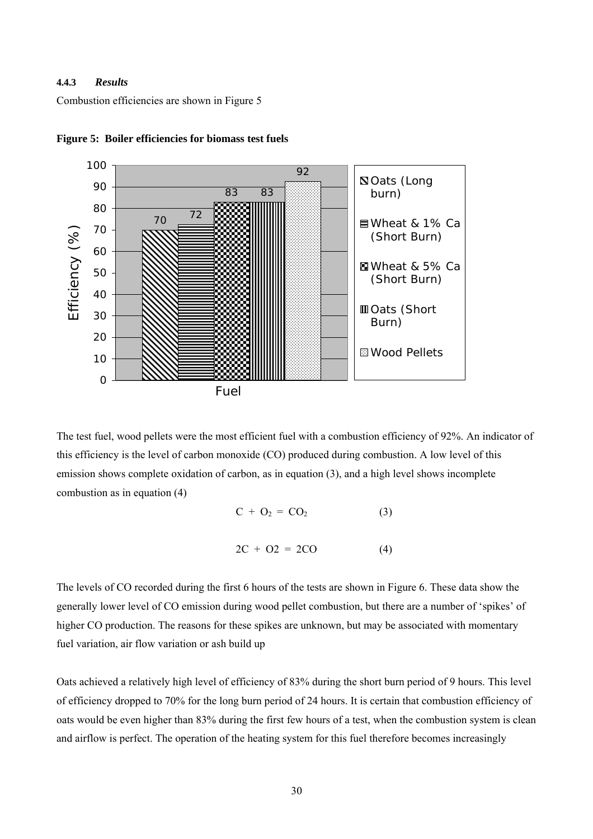# **4.4.3** *Results*

Combustion efficiencies are shown in Figure 5



**Figure 5: Boiler efficiencies for biomass test fuels** 

The test fuel, wood pellets were the most efficient fuel with a combustion efficiency of 92%. An indicator of this efficiency is the level of carbon monoxide (CO) produced during combustion. A low level of this emission shows complete oxidation of carbon, as in equation (3), and a high level shows incomplete combustion as in equation (4)

$$
C + O_2 = CO_2 \tag{3}
$$

$$
2C + O2 = 2CO \tag{4}
$$

The levels of CO recorded during the first 6 hours of the tests are shown in Figure 6. These data show the generally lower level of CO emission during wood pellet combustion, but there are a number of 'spikes' of higher CO production. The reasons for these spikes are unknown, but may be associated with momentary fuel variation, air flow variation or ash build up

Oats achieved a relatively high level of efficiency of 83% during the short burn period of 9 hours. This level of efficiency dropped to 70% for the long burn period of 24 hours. It is certain that combustion efficiency of oats would be even higher than 83% during the first few hours of a test, when the combustion system is clean and airflow is perfect. The operation of the heating system for this fuel therefore becomes increasingly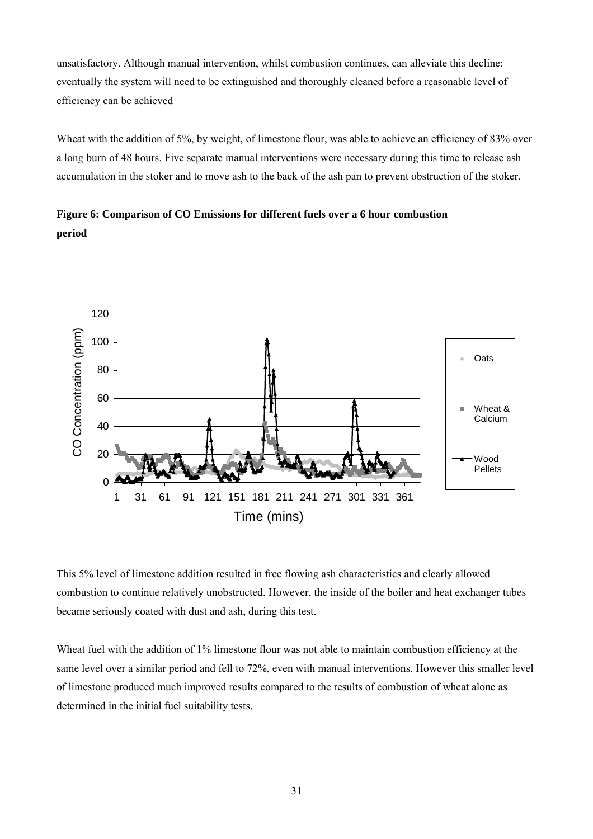unsatisfactory. Although manual intervention, whilst combustion continues, can alleviate this decline; eventually the system will need to be extinguished and thoroughly cleaned before a reasonable level of efficiency can be achieved

Wheat with the addition of 5%, by weight, of limestone flour, was able to achieve an efficiency of 83% over a long burn of 48 hours. Five separate manual interventions were necessary during this time to release ash accumulation in the stoker and to move ash to the back of the ash pan to prevent obstruction of the stoker.

**Figure 6: Comparison of CO Emissions for different fuels over a 6 hour combustion period**



This 5% level of limestone addition resulted in free flowing ash characteristics and clearly allowed combustion to continue relatively unobstructed. However, the inside of the boiler and heat exchanger tubes became seriously coated with dust and ash, during this test.

Wheat fuel with the addition of 1% limestone flour was not able to maintain combustion efficiency at the same level over a similar period and fell to 72%, even with manual interventions. However this smaller level of limestone produced much improved results compared to the results of combustion of wheat alone as determined in the initial fuel suitability tests.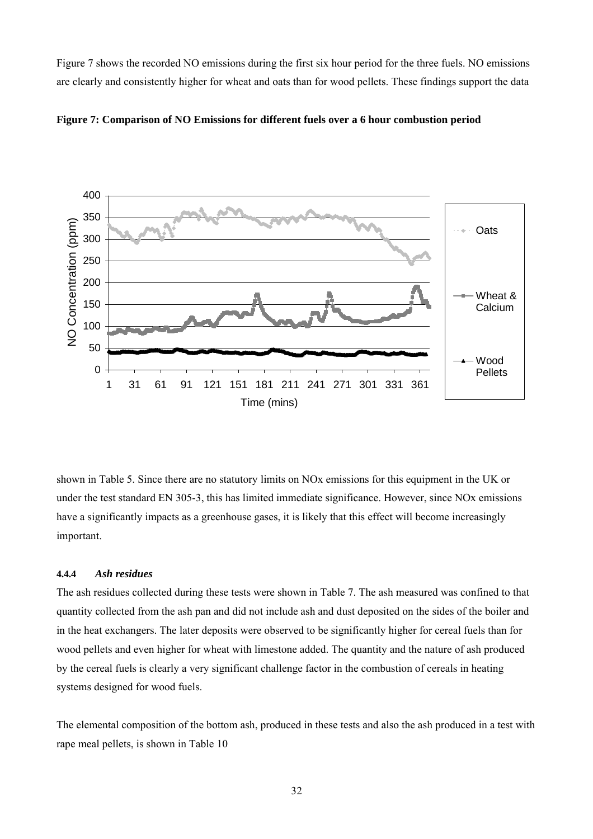Figure 7 shows the recorded NO emissions during the first six hour period for the three fuels. NO emissions are clearly and consistently higher for wheat and oats than for wood pellets. These findings support the data





shown in Table 5. Since there are no statutory limits on NOx emissions for this equipment in the UK or under the test standard EN 305-3, this has limited immediate significance. However, since NOx emissions have a significantly impacts as a greenhouse gases, it is likely that this effect will become increasingly important.

#### **4.4.4** *Ash residues*

The ash residues collected during these tests were shown in Table 7. The ash measured was confined to that quantity collected from the ash pan and did not include ash and dust deposited on the sides of the boiler and in the heat exchangers. The later deposits were observed to be significantly higher for cereal fuels than for wood pellets and even higher for wheat with limestone added. The quantity and the nature of ash produced by the cereal fuels is clearly a very significant challenge factor in the combustion of cereals in heating systems designed for wood fuels.

The elemental composition of the bottom ash, produced in these tests and also the ash produced in a test with rape meal pellets, is shown in Table 10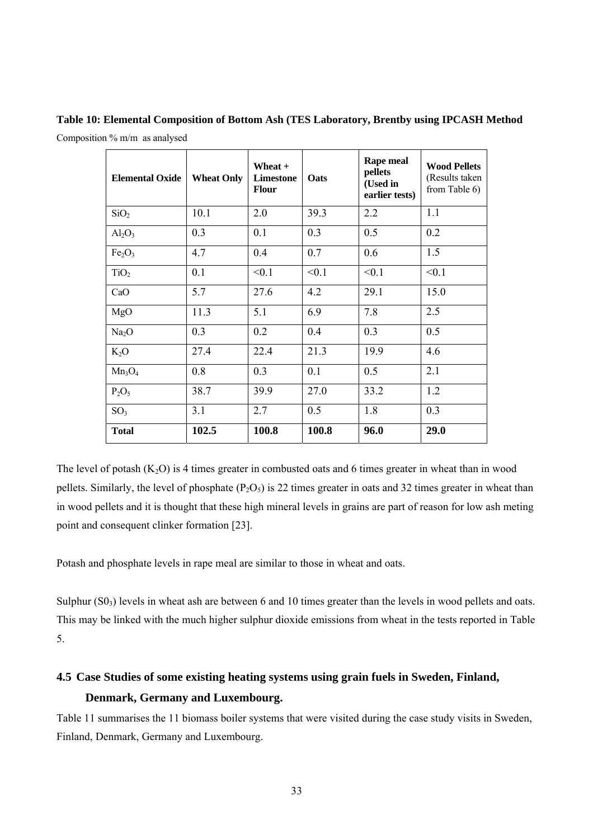| <b>Elemental Oxide</b>         | <b>Wheat Only</b> | Wheat +<br><b>Limestone</b><br><b>Flour</b> | Oats  |       | <b>Wood Pellets</b><br>(Results taken<br>from Table 6) |  |
|--------------------------------|-------------------|---------------------------------------------|-------|-------|--------------------------------------------------------|--|
| SiO <sub>2</sub>               | 10.1              | 2.0                                         | 39.3  | 2.2   | 1.1                                                    |  |
| $Al_2O_3$                      | 0.3               | 0.1                                         | 0.3   | 0.5   | 0.2                                                    |  |
| Fe <sub>2</sub> O <sub>3</sub> | 4.7               | 0.4                                         | 0.7   | 0.6   | 1.5                                                    |  |
| TiO <sub>2</sub>               | 0.1               | < 0.1                                       | < 0.1 | < 0.1 | < 0.1                                                  |  |
| CaO                            | 5.7               | 27.6                                        | 4.2   | 29.1  | 15.0                                                   |  |
| MgO                            | 11.3              | 5.1                                         | 6.9   | 7.8   | 2.5                                                    |  |
| Na <sub>2</sub> O              | 0.3               | 0.2                                         | 0.4   | 0.3   | 0.5                                                    |  |
| $K_2O$                         | 27.4              | 22.4                                        | 21.3  | 19.9  | 4.6                                                    |  |
| $Mn_3O_4$                      | 0.8               | 0.3                                         | 0.1   | 0.5   | 2.1                                                    |  |
| $P_2O_5$                       | 38.7              | 39.9                                        | 27.0  | 33.2  | 1.2                                                    |  |
| SO <sub>3</sub>                | 3.1               | 2.7                                         | 0.5   | 1.8   | 0.3                                                    |  |
| <b>Total</b>                   | 102.5             | 100.8                                       | 100.8 | 96.0  | 29.0                                                   |  |

**Table 10: Elemental Composition of Bottom Ash (TES Laboratory, Brentby using IPCASH Method**  Composition % m/m as analysed

The level of potash  $(K_2O)$  is 4 times greater in combusted oats and 6 times greater in wheat than in wood pellets. Similarly, the level of phosphate  $(P_2O_5)$  is 22 times greater in oats and 32 times greater in wheat than in wood pellets and it is thought that these high mineral levels in grains are part of reason for low ash meting point and consequent clinker formation [23].

Potash and phosphate levels in rape meal are similar to those in wheat and oats.

Sulphur  $(S0<sub>3</sub>)$  levels in wheat ash are between 6 and 10 times greater than the levels in wood pellets and oats. This may be linked with the much higher sulphur dioxide emissions from wheat in the tests reported in Table 5.

# **4.5 Case Studies of some existing heating systems using grain fuels in Sweden, Finland, Denmark, Germany and Luxembourg.**

Table 11 summarises the 11 biomass boiler systems that were visited during the case study visits in Sweden, Finland, Denmark, Germany and Luxembourg.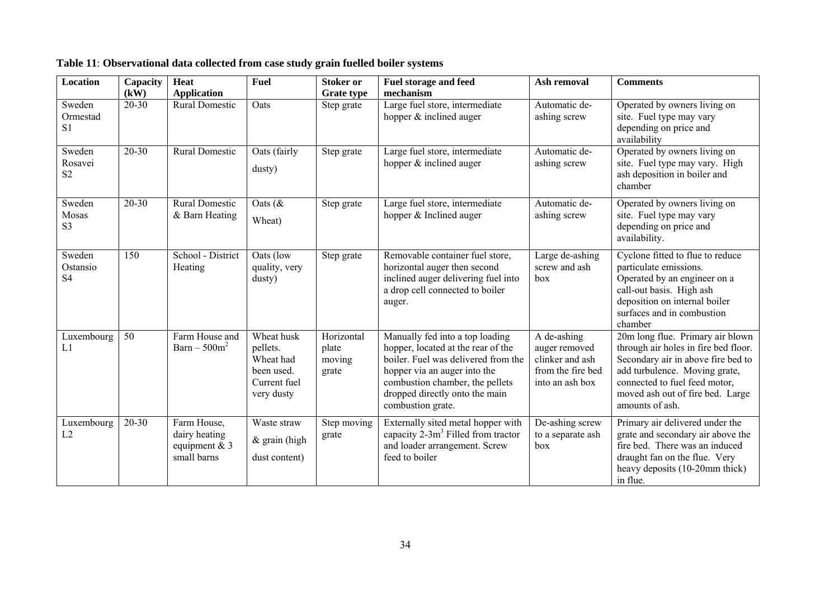| Location                             | Capacity<br>(kW) | <b>Heat</b><br><b>Application</b>                              | <b>Fuel</b>                                                                     | <b>Stoker or</b><br><b>Grate type</b>  | Fuel storage and feed<br>mechanism                                                                                                                                                                                                     | Ash removal                                                                                          | <b>Comments</b>                                                                                                                                                                                                                         |
|--------------------------------------|------------------|----------------------------------------------------------------|---------------------------------------------------------------------------------|----------------------------------------|----------------------------------------------------------------------------------------------------------------------------------------------------------------------------------------------------------------------------------------|------------------------------------------------------------------------------------------------------|-----------------------------------------------------------------------------------------------------------------------------------------------------------------------------------------------------------------------------------------|
| Sweden<br>Ormestad<br>S <sub>1</sub> | $20 - 30$        | <b>Rural Domestic</b>                                          | Oats                                                                            | Step grate                             | Large fuel store, intermediate<br>hopper & inclined auger                                                                                                                                                                              | Automatic de-<br>ashing screw                                                                        | Operated by owners living on<br>site. Fuel type may vary<br>depending on price and<br>availability                                                                                                                                      |
| Sweden<br>Rosavei<br>S <sub>2</sub>  | $20 - 30$        | <b>Rural Domestic</b>                                          | Oats (fairly<br>dusty)                                                          | Step grate                             | Large fuel store, intermediate<br>hopper & inclined auger                                                                                                                                                                              | Automatic de-<br>ashing screw                                                                        | Operated by owners living on<br>site. Fuel type may vary. High<br>ash deposition in boiler and<br>chamber                                                                                                                               |
| Sweden<br>Mosas<br>S <sub>3</sub>    | $20 - 30$        | <b>Rural Domestic</b><br>& Barn Heating                        | Oats $(\&$<br>Wheat)                                                            | Step grate                             | Large fuel store, intermediate<br>hopper & Inclined auger                                                                                                                                                                              | Automatic de-<br>ashing screw                                                                        | Operated by owners living on<br>site. Fuel type may vary<br>depending on price and<br>availability.                                                                                                                                     |
| Sweden<br>Ostansio<br>S <sub>4</sub> | 150              | School - District<br>Heating                                   | Oats (low<br>quality, very<br>dusty)                                            | Step grate                             | Removable container fuel store,<br>horizontal auger then second<br>inclined auger delivering fuel into<br>a drop cell connected to boiler<br>auger.                                                                                    | Large de-ashing<br>screw and ash<br>box                                                              | Cyclone fitted to flue to reduce<br>particulate emissions.<br>Operated by an engineer on a<br>call-out basis. High ash<br>deposition on internal boiler<br>surfaces and in combustion<br>chamber                                        |
| Luxembourg<br>L1                     | 50               | Farm House and<br>$\text{Barn} - 500 \text{m}^2$               | Wheat husk<br>pellets.<br>Wheat had<br>been used.<br>Current fuel<br>very dusty | Horizontal<br>plate<br>moving<br>grate | Manually fed into a top loading<br>hopper, located at the rear of the<br>boiler. Fuel was delivered from the<br>hopper via an auger into the<br>combustion chamber, the pellets<br>dropped directly onto the main<br>combustion grate. | $\overline{A}$ de-ashing<br>auger removed<br>clinker and ash<br>from the fire bed<br>into an ash box | 20m long flue. Primary air blown<br>through air holes in fire bed floor.<br>Secondary air in above fire bed to<br>add turbulence. Moving grate,<br>connected to fuel feed motor,<br>moved ash out of fire bed. Large<br>amounts of ash. |
| Luxembourg<br>L2                     | $20 - 30$        | Farm House,<br>dairy heating<br>equipment $& 3$<br>small barns | Waste straw<br>& grain (high<br>dust content)                                   | Step moving<br>grate                   | Externally sited metal hopper with<br>capacity $2-3m^3$ Filled from tractor<br>and loader arrangement. Screw<br>feed to boiler                                                                                                         | De-ashing screw<br>to a separate ash<br>box                                                          | Primary air delivered under the<br>grate and secondary air above the<br>fire bed. There was an induced<br>draught fan on the flue. Very<br>heavy deposits (10-20mm thick)<br>in flue.                                                   |

**Table 11**: **Observational data collected from case study grain fuelled boiler systems**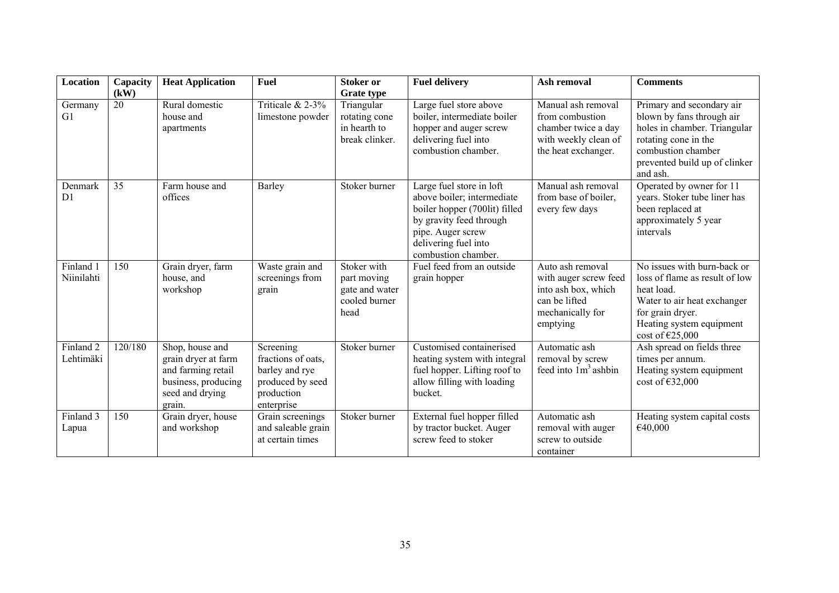| <b>Location</b>                   | Capacity<br>(kW) | <b>Heat Application</b>                                                                                          | <b>Fuel</b>                                                                                       | <b>Stoker or</b>                                                                   | <b>Fuel delivery</b>                                                                                                                                                                   | Ash removal                                                                                                       | <b>Comments</b>                                                                                                                                                                   |
|-----------------------------------|------------------|------------------------------------------------------------------------------------------------------------------|---------------------------------------------------------------------------------------------------|------------------------------------------------------------------------------------|----------------------------------------------------------------------------------------------------------------------------------------------------------------------------------------|-------------------------------------------------------------------------------------------------------------------|-----------------------------------------------------------------------------------------------------------------------------------------------------------------------------------|
| Germany<br>G1                     | 20               | Rural domestic<br>house and<br>apartments                                                                        | Triticale & 2-3%<br>limestone powder                                                              | <b>Grate type</b><br>Triangular<br>rotating cone<br>in hearth to<br>break clinker. | Large fuel store above<br>boiler, intermediate boiler<br>hopper and auger screw<br>delivering fuel into<br>combustion chamber.                                                         | Manual ash removal<br>from combustion<br>chamber twice a day<br>with weekly clean of<br>the heat exchanger.       | Primary and secondary air<br>blown by fans through air<br>holes in chamber. Triangular<br>rotating cone in the<br>combustion chamber<br>prevented build up of clinker<br>and ash. |
| Denmark<br>D1                     | 35               | Farm house and<br>offices                                                                                        | Barley                                                                                            | Stoker burner                                                                      | Large fuel store in loft<br>above boiler; intermediate<br>boiler hopper (700lit) filled<br>by gravity feed through<br>pipe. Auger screw<br>delivering fuel into<br>combustion chamber. | Manual ash removal<br>from base of boiler,<br>every few days                                                      | Operated by owner for 11<br>years. Stoker tube liner has<br>been replaced at<br>approximately 5 year<br>intervals                                                                 |
| Finland 1<br>Niinilahti           | 150              | Grain dryer, farm<br>house, and<br>workshop                                                                      | Waste grain and<br>screenings from<br>grain                                                       | Stoker with<br>part moving<br>gate and water<br>cooled burner<br>head              | Fuel feed from an outside<br>grain hopper                                                                                                                                              | Auto ash removal<br>with auger screw feed<br>into ash box, which<br>can be lifted<br>mechanically for<br>emptying | No issues with burn-back or<br>loss of flame as result of low<br>heat load.<br>Water to air heat exchanger<br>for grain dryer.<br>Heating system equipment<br>cost of $E25,000$   |
| Finland <sub>2</sub><br>Lehtimäki | 120/180          | Shop, house and<br>grain dryer at farm<br>and farming retail<br>business, producing<br>seed and drying<br>grain. | Screening<br>fractions of oats.<br>barley and rye<br>produced by seed<br>production<br>enterprise | Stoker burner                                                                      | Customised containerised<br>heating system with integral<br>fuel hopper. Lifting roof to<br>allow filling with loading<br>bucket.                                                      | Automatic ash<br>removal by screw<br>feed into $1m3$ ashbin                                                       | Ash spread on fields three<br>times per annum.<br>Heating system equipment<br>cost of $€32,000$                                                                                   |
| Finland 3<br>Lapua                | 150              | Grain dryer, house<br>and workshop                                                                               | Grain screenings<br>and saleable grain<br>at certain times                                        | Stoker burner                                                                      | External fuel hopper filled<br>by tractor bucket. Auger<br>screw feed to stoker                                                                                                        | Automatic ash<br>removal with auger<br>screw to outside<br>container                                              | Heating system capital costs<br>€40,000                                                                                                                                           |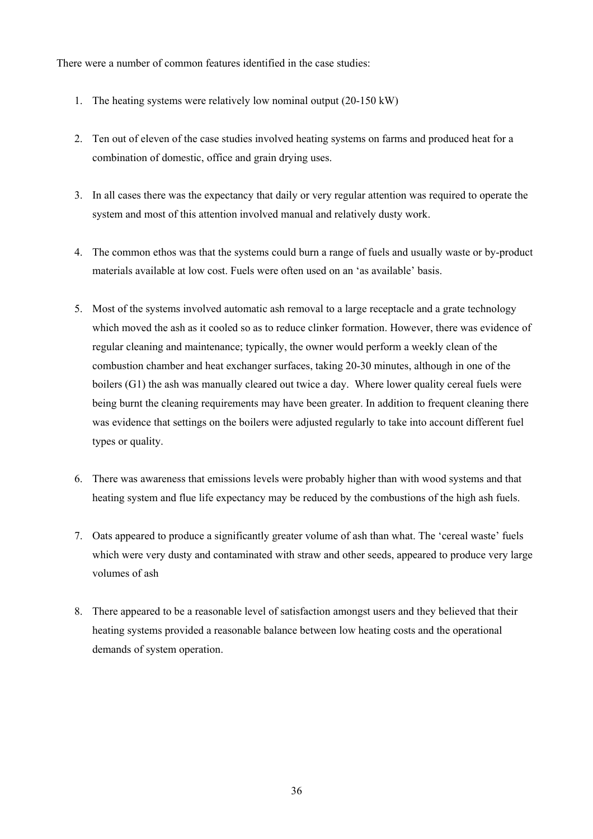There were a number of common features identified in the case studies:

- 1. The heating systems were relatively low nominal output (20-150 kW)
- 2. Ten out of eleven of the case studies involved heating systems on farms and produced heat for a combination of domestic, office and grain drying uses.
- 3. In all cases there was the expectancy that daily or very regular attention was required to operate the system and most of this attention involved manual and relatively dusty work.
- 4. The common ethos was that the systems could burn a range of fuels and usually waste or by-product materials available at low cost. Fuels were often used on an 'as available' basis.
- 5. Most of the systems involved automatic ash removal to a large receptacle and a grate technology which moved the ash as it cooled so as to reduce clinker formation. However, there was evidence of regular cleaning and maintenance; typically, the owner would perform a weekly clean of the combustion chamber and heat exchanger surfaces, taking 20-30 minutes, although in one of the boilers (G1) the ash was manually cleared out twice a day. Where lower quality cereal fuels were being burnt the cleaning requirements may have been greater. In addition to frequent cleaning there was evidence that settings on the boilers were adjusted regularly to take into account different fuel types or quality.
- 6. There was awareness that emissions levels were probably higher than with wood systems and that heating system and flue life expectancy may be reduced by the combustions of the high ash fuels.
- 7. Oats appeared to produce a significantly greater volume of ash than what. The 'cereal waste' fuels which were very dusty and contaminated with straw and other seeds, appeared to produce very large volumes of ash
- 8. There appeared to be a reasonable level of satisfaction amongst users and they believed that their heating systems provided a reasonable balance between low heating costs and the operational demands of system operation.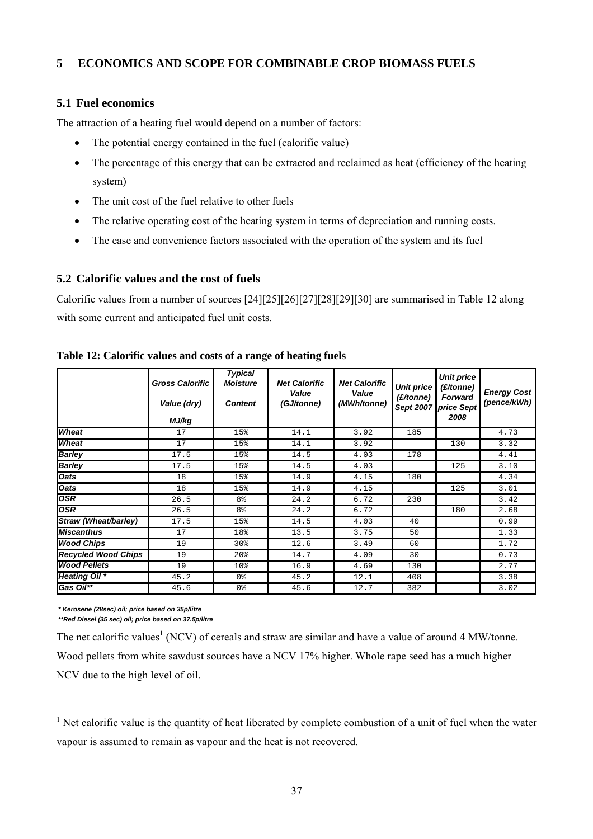# **5 ECONOMICS AND SCOPE FOR COMBINABLE CROP BIOMASS FUELS**

# **5.1 Fuel economics**

The attraction of a heating fuel would depend on a number of factors:

- The potential energy contained in the fuel (calorific value)
- The percentage of this energy that can be extracted and reclaimed as heat (efficiency of the heating system)
- The unit cost of the fuel relative to other fuels
- The relative operating cost of the heating system in terms of depreciation and running costs.
- The ease and convenience factors associated with the operation of the system and its fuel

# **5.2 Calorific values and the cost of fuels**

Calorific values from a number of sources [24][25][26][27][28][29][30] are summarised in Table 12 along with some current and anticipated fuel unit costs.

|                            | <b>Gross Calorific</b><br>Value (dry)<br>MJ/kg | <b>Typical</b><br><b>Moisture</b><br><b>Content</b> | <b>Net Calorific</b><br>Value<br>(GJ/tonne) | <b>Net Calorific</b><br>Value<br>(MWh/tonne) | <b>Unit price</b><br>(E/tonne) | <b>Unit price</b><br>(£/tonne)<br><b>Forward</b><br>Sept 2007 price Sept<br>2008 | <b>Energy Cost</b><br>(pence/kWh) |
|----------------------------|------------------------------------------------|-----------------------------------------------------|---------------------------------------------|----------------------------------------------|--------------------------------|----------------------------------------------------------------------------------|-----------------------------------|
| Wheat                      | 17                                             | 15%                                                 | 14.1                                        | 3.92                                         | 185                            |                                                                                  | 4.73                              |
| Wheat                      | 17                                             | 15%                                                 | 14.1                                        | 3.92                                         |                                | 130                                                                              | 3.32                              |
| <b>Barley</b>              | 17.5                                           | 15%                                                 | 14.5                                        | 4.03                                         | 178                            |                                                                                  | 4.41                              |
| <b>Barley</b>              | 17.5                                           | 15%                                                 | 14.5                                        | 4.03                                         |                                | 125                                                                              | 3.10                              |
| <b>Oats</b>                | 18                                             | 15%                                                 | 14.9                                        | 4.15                                         | 180                            |                                                                                  | 4.34                              |
| <b>Oats</b>                | 18                                             | 15%                                                 | 14.9                                        | 4.15                                         |                                | 125                                                                              | 3.01                              |
| <b>OSR</b>                 | 26.5                                           | 8 <sup>°</sup>                                      | 24.2                                        | 6.72                                         | 230                            |                                                                                  | 3.42                              |
| <b>OSR</b>                 | 26.5                                           | 8 <sup>°</sup>                                      | 24.2                                        | 6.72                                         |                                | 180                                                                              | 2.68                              |
| Straw (Wheat/barley)       | 17.5                                           | 15%                                                 | 14.5                                        | 4.03                                         | 40                             |                                                                                  | 0.99                              |
| <b>Miscanthus</b>          | 17                                             | 18%                                                 | 13.5                                        | 3.75                                         | 50                             |                                                                                  | 1.33                              |
| <b>Wood Chips</b>          | 19                                             | 30%                                                 | 12.6                                        | 3.49                                         | 60                             |                                                                                  | 1.72                              |
| <b>Recycled Wood Chips</b> | 19                                             | 20 <sup>8</sup>                                     | 14.7                                        | 4.09                                         | 30                             |                                                                                  | 0.73                              |
| <b>Wood Pellets</b>        | 19                                             | 10%                                                 | 16.9                                        | 4.69                                         | 130                            |                                                                                  | 2.77                              |
| <b>Heating Oil</b> *       | 45.2                                           | 0 %                                                 | 45.2                                        | 12.1                                         | 408                            |                                                                                  | 3.38                              |
| Gas Oil**                  | 45.6                                           | 0%                                                  | 45.6                                        | 12.7                                         | 382                            |                                                                                  | 3.02                              |

**Table 12: Calorific values and costs of a range of heating fuels** 

*\* Kerosene (28sec) oil; price based on 35p/litre*

l

*\*\*Red Diesel (35 sec) oil; price based on 37.5p/litre*

The net calorific values<sup>1</sup> (NCV) of cereals and straw are similar and have a value of around 4 MW/tonne. Wood pellets from white sawdust sources have a NCV 17% higher. Whole rape seed has a much higher NCV due to the high level of oil.

<sup>&</sup>lt;sup>1</sup> Net calorific value is the quantity of heat liberated by complete combustion of a unit of fuel when the water vapour is assumed to remain as vapour and the heat is not recovered.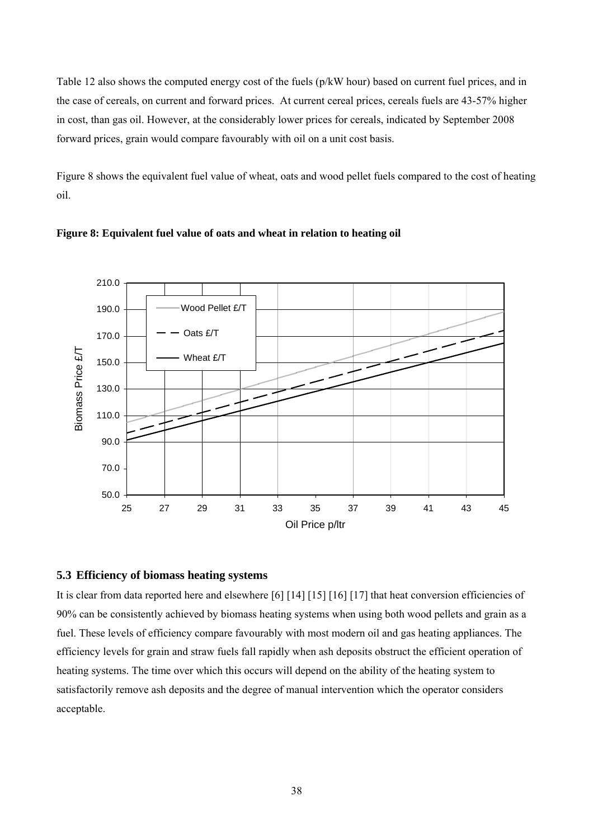Table 12 also shows the computed energy cost of the fuels (p/kW hour) based on current fuel prices, and in the case of cereals, on current and forward prices. At current cereal prices, cereals fuels are 43-57% higher in cost, than gas oil. However, at the considerably lower prices for cereals, indicated by September 2008 forward prices, grain would compare favourably with oil on a unit cost basis.

Figure 8 shows the equivalent fuel value of wheat, oats and wood pellet fuels compared to the cost of heating oil.



#### **Figure 8: Equivalent fuel value of oats and wheat in relation to heating oil**

#### **5.3 Efficiency of biomass heating systems**

It is clear from data reported here and elsewhere [6] [14] [15] [16] [17] that heat conversion efficiencies of 90% can be consistently achieved by biomass heating systems when using both wood pellets and grain as a fuel. These levels of efficiency compare favourably with most modern oil and gas heating appliances. The efficiency levels for grain and straw fuels fall rapidly when ash deposits obstruct the efficient operation of heating systems. The time over which this occurs will depend on the ability of the heating system to satisfactorily remove ash deposits and the degree of manual intervention which the operator considers acceptable.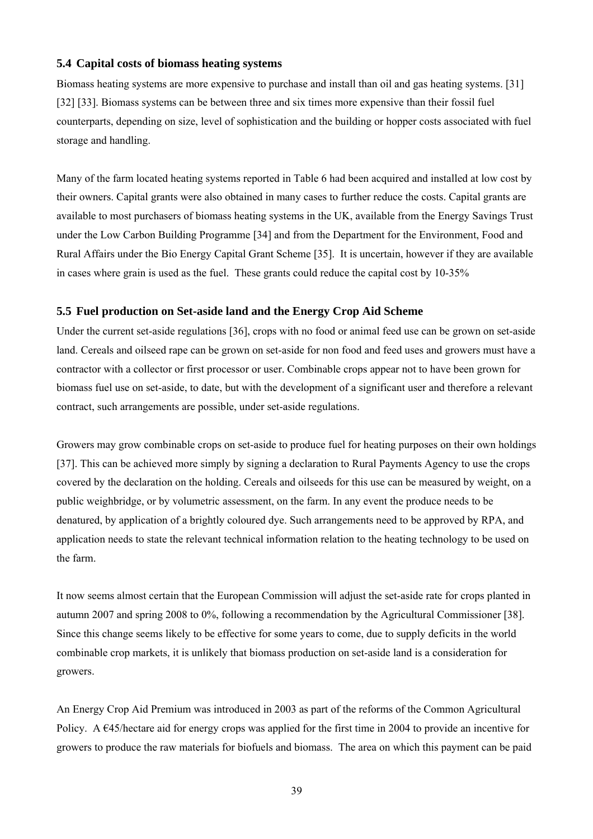#### **5.4 Capital costs of biomass heating systems**

Biomass heating systems are more expensive to purchase and install than oil and gas heating systems. [31] [32] [33]. Biomass systems can be between three and six times more expensive than their fossil fuel counterparts, depending on size, level of sophistication and the building or hopper costs associated with fuel storage and handling.

Many of the farm located heating systems reported in Table 6 had been acquired and installed at low cost by their owners. Capital grants were also obtained in many cases to further reduce the costs. Capital grants are available to most purchasers of biomass heating systems in the UK, available from the Energy Savings Trust under the Low Carbon Building Programme [34] and from the Department for the Environment, Food and Rural Affairs under the Bio Energy Capital Grant Scheme [35]. It is uncertain, however if they are available in cases where grain is used as the fuel. These grants could reduce the capital cost by 10-35%

#### **5.5 Fuel production on Set-aside land and the Energy Crop Aid Scheme**

Under the current set-aside regulations [36], crops with no food or animal feed use can be grown on set-aside land. Cereals and oilseed rape can be grown on set-aside for non food and feed uses and growers must have a contractor with a collector or first processor or user. Combinable crops appear not to have been grown for biomass fuel use on set-aside, to date, but with the development of a significant user and therefore a relevant contract, such arrangements are possible, under set-aside regulations.

Growers may grow combinable crops on set-aside to produce fuel for heating purposes on their own holdings [37]. This can be achieved more simply by signing a declaration to Rural Payments Agency to use the crops covered by the declaration on the holding. Cereals and oilseeds for this use can be measured by weight, on a public weighbridge, or by volumetric assessment, on the farm. In any event the produce needs to be denatured, by application of a brightly coloured dye. Such arrangements need to be approved by RPA, and application needs to state the relevant technical information relation to the heating technology to be used on the farm.

It now seems almost certain that the European Commission will adjust the set-aside rate for crops planted in autumn 2007 and spring 2008 to 0%, following a recommendation by the Agricultural Commissioner [38]. Since this change seems likely to be effective for some years to come, due to supply deficits in the world combinable crop markets, it is unlikely that biomass production on set-aside land is a consideration for growers.

An Energy Crop Aid Premium was introduced in 2003 as part of the reforms of the Common Agricultural Policy. A  $\epsilon$ 45/hectare aid for energy crops was applied for the first time in 2004 to provide an incentive for growers to produce the raw materials for biofuels and biomass. The area on which this payment can be paid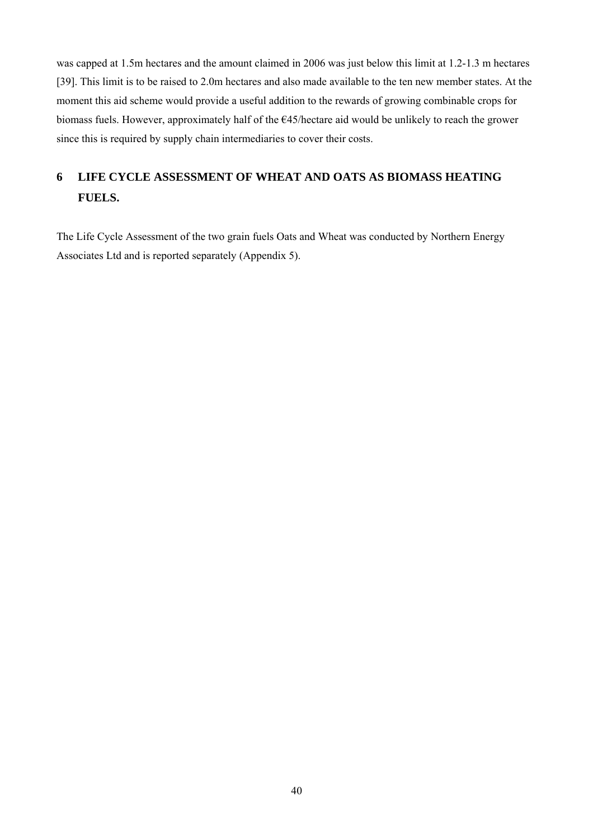was capped at 1.5m hectares and the amount claimed in 2006 was just below this limit at 1.2-1.3 m hectares [39]. This limit is to be raised to 2.0m hectares and also made available to the ten new member states. At the moment this aid scheme would provide a useful addition to the rewards of growing combinable crops for biomass fuels. However, approximately half of the €45/hectare aid would be unlikely to reach the grower since this is required by supply chain intermediaries to cover their costs.

# **6 LIFE CYCLE ASSESSMENT OF WHEAT AND OATS AS BIOMASS HEATING FUELS.**

The Life Cycle Assessment of the two grain fuels Oats and Wheat was conducted by Northern Energy Associates Ltd and is reported separately (Appendix 5).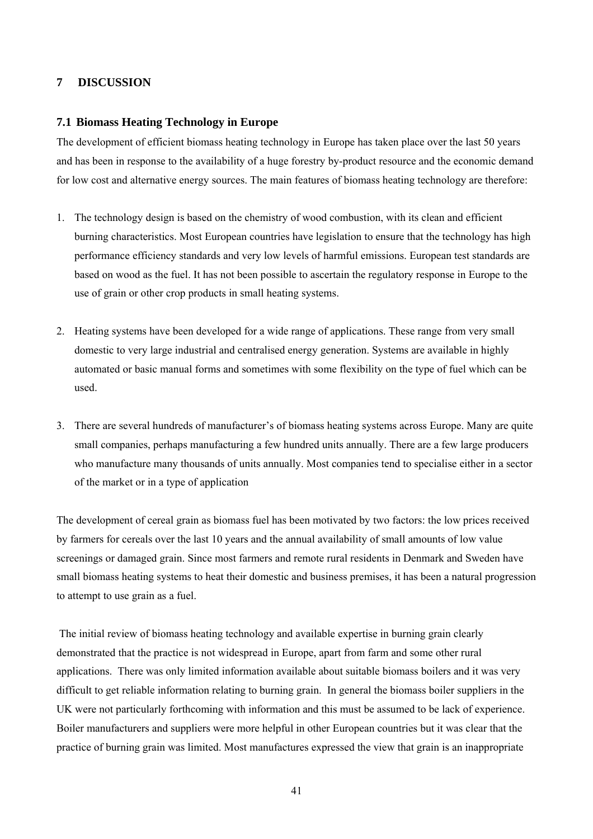## **7 DISCUSSION**

#### **7.1 Biomass Heating Technology in Europe**

The development of efficient biomass heating technology in Europe has taken place over the last 50 years and has been in response to the availability of a huge forestry by-product resource and the economic demand for low cost and alternative energy sources. The main features of biomass heating technology are therefore:

- 1. The technology design is based on the chemistry of wood combustion, with its clean and efficient burning characteristics. Most European countries have legislation to ensure that the technology has high performance efficiency standards and very low levels of harmful emissions. European test standards are based on wood as the fuel. It has not been possible to ascertain the regulatory response in Europe to the use of grain or other crop products in small heating systems.
- 2. Heating systems have been developed for a wide range of applications. These range from very small domestic to very large industrial and centralised energy generation. Systems are available in highly automated or basic manual forms and sometimes with some flexibility on the type of fuel which can be used.
- 3. There are several hundreds of manufacturer's of biomass heating systems across Europe. Many are quite small companies, perhaps manufacturing a few hundred units annually. There are a few large producers who manufacture many thousands of units annually. Most companies tend to specialise either in a sector of the market or in a type of application

The development of cereal grain as biomass fuel has been motivated by two factors: the low prices received by farmers for cereals over the last 10 years and the annual availability of small amounts of low value screenings or damaged grain. Since most farmers and remote rural residents in Denmark and Sweden have small biomass heating systems to heat their domestic and business premises, it has been a natural progression to attempt to use grain as a fuel.

 The initial review of biomass heating technology and available expertise in burning grain clearly demonstrated that the practice is not widespread in Europe, apart from farm and some other rural applications. There was only limited information available about suitable biomass boilers and it was very difficult to get reliable information relating to burning grain. In general the biomass boiler suppliers in the UK were not particularly forthcoming with information and this must be assumed to be lack of experience. Boiler manufacturers and suppliers were more helpful in other European countries but it was clear that the practice of burning grain was limited. Most manufactures expressed the view that grain is an inappropriate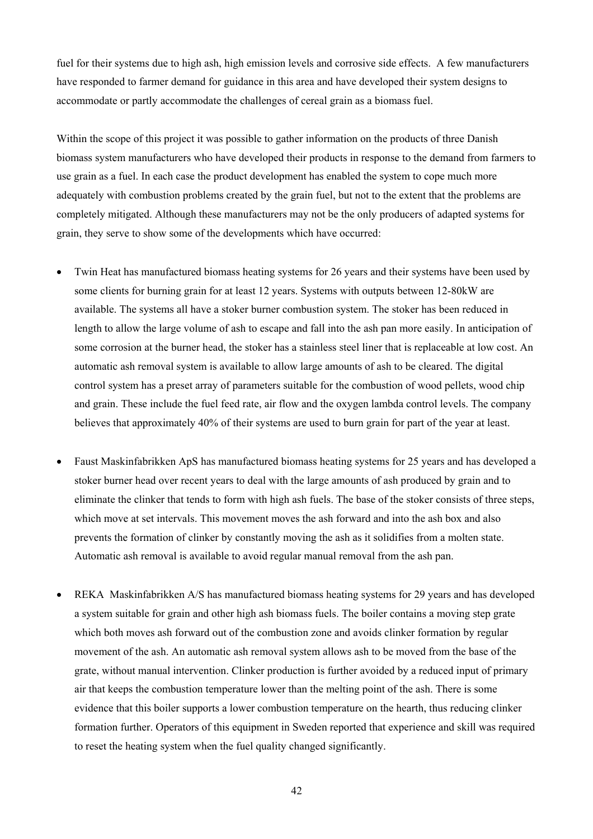fuel for their systems due to high ash, high emission levels and corrosive side effects. A few manufacturers have responded to farmer demand for guidance in this area and have developed their system designs to accommodate or partly accommodate the challenges of cereal grain as a biomass fuel.

Within the scope of this project it was possible to gather information on the products of three Danish biomass system manufacturers who have developed their products in response to the demand from farmers to use grain as a fuel. In each case the product development has enabled the system to cope much more adequately with combustion problems created by the grain fuel, but not to the extent that the problems are completely mitigated. Although these manufacturers may not be the only producers of adapted systems for grain, they serve to show some of the developments which have occurred:

- Twin Heat has manufactured biomass heating systems for 26 years and their systems have been used by some clients for burning grain for at least 12 years. Systems with outputs between 12-80kW are available. The systems all have a stoker burner combustion system. The stoker has been reduced in length to allow the large volume of ash to escape and fall into the ash pan more easily. In anticipation of some corrosion at the burner head, the stoker has a stainless steel liner that is replaceable at low cost. An automatic ash removal system is available to allow large amounts of ash to be cleared. The digital control system has a preset array of parameters suitable for the combustion of wood pellets, wood chip and grain. These include the fuel feed rate, air flow and the oxygen lambda control levels. The company believes that approximately 40% of their systems are used to burn grain for part of the year at least.
- Faust Maskinfabrikken ApS has manufactured biomass heating systems for 25 years and has developed a stoker burner head over recent years to deal with the large amounts of ash produced by grain and to eliminate the clinker that tends to form with high ash fuels. The base of the stoker consists of three steps, which move at set intervals. This movement moves the ash forward and into the ash box and also prevents the formation of clinker by constantly moving the ash as it solidifies from a molten state. Automatic ash removal is available to avoid regular manual removal from the ash pan.
- REKA Maskinfabrikken A/S has manufactured biomass heating systems for 29 years and has developed a system suitable for grain and other high ash biomass fuels. The boiler contains a moving step grate which both moves ash forward out of the combustion zone and avoids clinker formation by regular movement of the ash. An automatic ash removal system allows ash to be moved from the base of the grate, without manual intervention. Clinker production is further avoided by a reduced input of primary air that keeps the combustion temperature lower than the melting point of the ash. There is some evidence that this boiler supports a lower combustion temperature on the hearth, thus reducing clinker formation further. Operators of this equipment in Sweden reported that experience and skill was required to reset the heating system when the fuel quality changed significantly.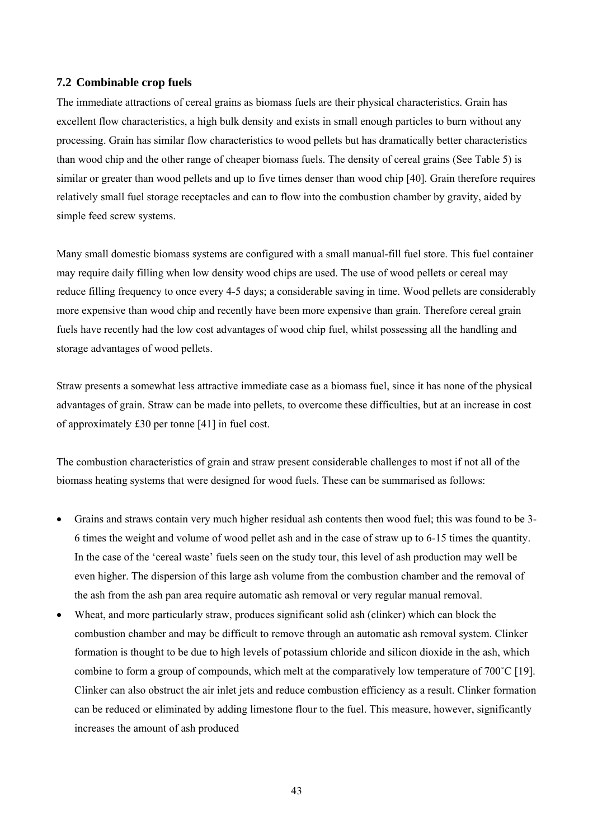#### **7.2 Combinable crop fuels**

The immediate attractions of cereal grains as biomass fuels are their physical characteristics. Grain has excellent flow characteristics, a high bulk density and exists in small enough particles to burn without any processing. Grain has similar flow characteristics to wood pellets but has dramatically better characteristics than wood chip and the other range of cheaper biomass fuels. The density of cereal grains (See Table 5) is similar or greater than wood pellets and up to five times denser than wood chip [40]. Grain therefore requires relatively small fuel storage receptacles and can to flow into the combustion chamber by gravity, aided by simple feed screw systems.

Many small domestic biomass systems are configured with a small manual-fill fuel store. This fuel container may require daily filling when low density wood chips are used. The use of wood pellets or cereal may reduce filling frequency to once every 4-5 days; a considerable saving in time. Wood pellets are considerably more expensive than wood chip and recently have been more expensive than grain. Therefore cereal grain fuels have recently had the low cost advantages of wood chip fuel, whilst possessing all the handling and storage advantages of wood pellets.

Straw presents a somewhat less attractive immediate case as a biomass fuel, since it has none of the physical advantages of grain. Straw can be made into pellets, to overcome these difficulties, but at an increase in cost of approximately £30 per tonne [41] in fuel cost.

The combustion characteristics of grain and straw present considerable challenges to most if not all of the biomass heating systems that were designed for wood fuels. These can be summarised as follows:

- Grains and straws contain very much higher residual ash contents then wood fuel; this was found to be 3- 6 times the weight and volume of wood pellet ash and in the case of straw up to 6-15 times the quantity. In the case of the 'cereal waste' fuels seen on the study tour, this level of ash production may well be even higher. The dispersion of this large ash volume from the combustion chamber and the removal of the ash from the ash pan area require automatic ash removal or very regular manual removal.
- Wheat, and more particularly straw, produces significant solid ash (clinker) which can block the combustion chamber and may be difficult to remove through an automatic ash removal system. Clinker formation is thought to be due to high levels of potassium chloride and silicon dioxide in the ash, which combine to form a group of compounds, which melt at the comparatively low temperature of 700˚C [19]. Clinker can also obstruct the air inlet jets and reduce combustion efficiency as a result. Clinker formation can be reduced or eliminated by adding limestone flour to the fuel. This measure, however, significantly increases the amount of ash produced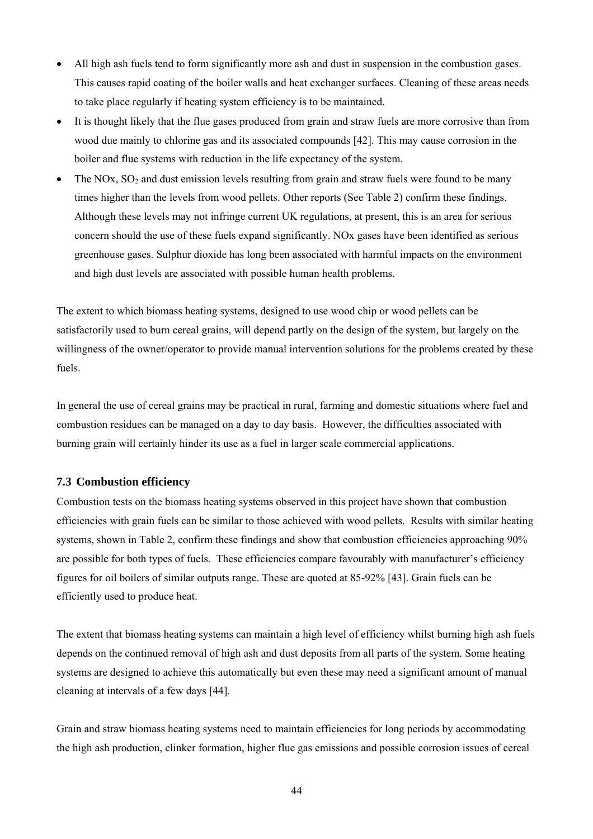- All high ash fuels tend to form significantly more ash and dust in suspension in the combustion gases. This causes rapid coating of the boiler walls and heat exchanger surfaces. Cleaning of these areas needs to take place regularly if heating system efficiency is to be maintained.
- It is thought likely that the flue gases produced from grain and straw fuels are more corrosive than from wood due mainly to chlorine gas and its associated compounds [42]. This may cause corrosion in the boiler and flue systems with reduction in the life expectancy of the system.
- The NOx,  $SO_2$  and dust emission levels resulting from grain and straw fuels were found to be many times higher than the levels from wood pellets. Other reports (See Table 2) confirm these findings. Although these levels may not infringe current UK regulations, at present, this is an area for serious concern should the use of these fuels expand significantly. NOx gases have been identified as serious greenhouse gases. Sulphur dioxide has long been associated with harmful impacts on the environment and high dust levels are associated with possible human health problems.

The extent to which biomass heating systems, designed to use wood chip or wood pellets can be satisfactorily used to burn cereal grains, will depend partly on the design of the system, but largely on the willingness of the owner/operator to provide manual intervention solutions for the problems created by these fuels.

In general the use of cereal grains may be practical in rural, farming and domestic situations where fuel and combustion residues can be managed on a day to day basis. However, the difficulties associated with burning grain will certainly hinder its use as a fuel in larger scale commercial applications.

# **7.3 Combustion efficiency**

Combustion tests on the biomass heating systems observed in this project have shown that combustion efficiencies with grain fuels can be similar to those achieved with wood pellets. Results with similar heating systems, shown in Table 2, confirm these findings and show that combustion efficiencies approaching 90% are possible for both types of fuels. These efficiencies compare favourably with manufacturer's efficiency figures for oil boilers of similar outputs range. These are quoted at 85-92% [43]. Grain fuels can be efficiently used to produce heat.

The extent that biomass heating systems can maintain a high level of efficiency whilst burning high ash fuels depends on the continued removal of high ash and dust deposits from all parts of the system. Some heating systems are designed to achieve this automatically but even these may need a significant amount of manual cleaning at intervals of a few days [44].

Grain and straw biomass heating systems need to maintain efficiencies for long periods by accommodating the high ash production, clinker formation, higher flue gas emissions and possible corrosion issues of cereal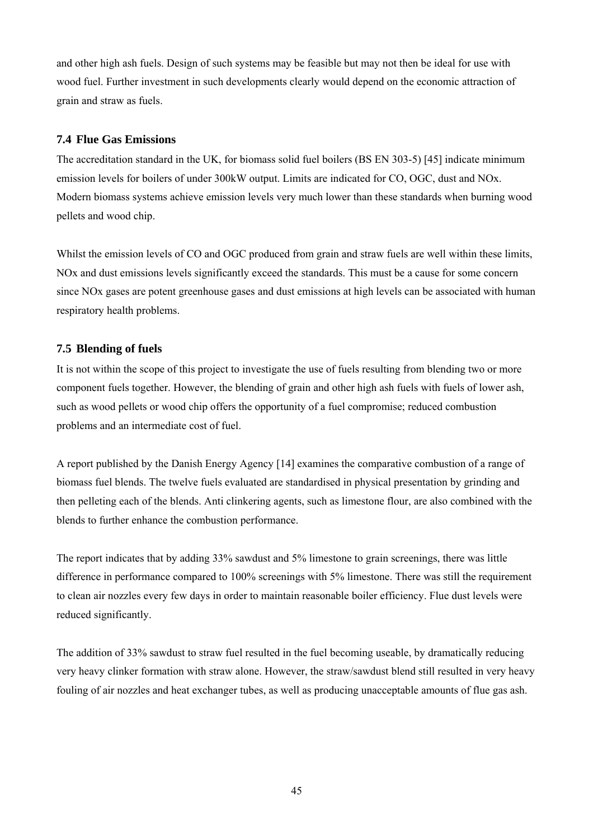and other high ash fuels. Design of such systems may be feasible but may not then be ideal for use with wood fuel. Further investment in such developments clearly would depend on the economic attraction of grain and straw as fuels.

#### **7.4 Flue Gas Emissions**

The accreditation standard in the UK, for biomass solid fuel boilers (BS EN 303-5) [45] indicate minimum emission levels for boilers of under 300kW output. Limits are indicated for CO, OGC, dust and NOx. Modern biomass systems achieve emission levels very much lower than these standards when burning wood pellets and wood chip.

Whilst the emission levels of CO and OGC produced from grain and straw fuels are well within these limits, NOx and dust emissions levels significantly exceed the standards. This must be a cause for some concern since NOx gases are potent greenhouse gases and dust emissions at high levels can be associated with human respiratory health problems.

# **7.5 Blending of fuels**

It is not within the scope of this project to investigate the use of fuels resulting from blending two or more component fuels together. However, the blending of grain and other high ash fuels with fuels of lower ash, such as wood pellets or wood chip offers the opportunity of a fuel compromise; reduced combustion problems and an intermediate cost of fuel.

A report published by the Danish Energy Agency [14] examines the comparative combustion of a range of biomass fuel blends. The twelve fuels evaluated are standardised in physical presentation by grinding and then pelleting each of the blends. Anti clinkering agents, such as limestone flour, are also combined with the blends to further enhance the combustion performance.

The report indicates that by adding 33% sawdust and 5% limestone to grain screenings, there was little difference in performance compared to 100% screenings with 5% limestone. There was still the requirement to clean air nozzles every few days in order to maintain reasonable boiler efficiency. Flue dust levels were reduced significantly.

The addition of 33% sawdust to straw fuel resulted in the fuel becoming useable, by dramatically reducing very heavy clinker formation with straw alone. However, the straw/sawdust blend still resulted in very heavy fouling of air nozzles and heat exchanger tubes, as well as producing unacceptable amounts of flue gas ash.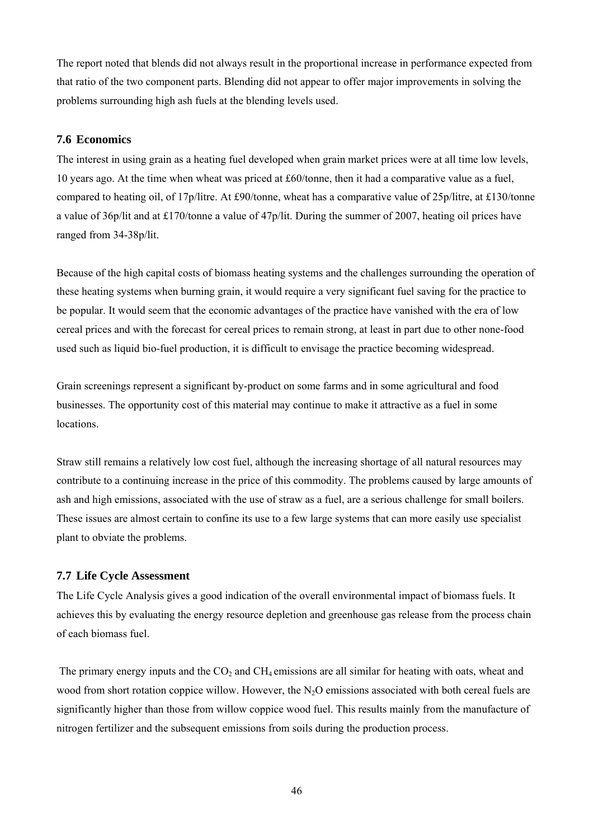The report noted that blends did not always result in the proportional increase in performance expected from that ratio of the two component parts. Blending did not appear to offer major improvements in solving the problems surrounding high ash fuels at the blending levels used.

#### **7.6 Economics**

The interest in using grain as a heating fuel developed when grain market prices were at all time low levels, 10 years ago. At the time when wheat was priced at £60/tonne, then it had a comparative value as a fuel, compared to heating oil, of 17p/litre. At £90/tonne, wheat has a comparative value of 25p/litre, at £130/tonne a value of 36p/lit and at £170/tonne a value of 47p/lit. During the summer of 2007, heating oil prices have ranged from 34-38p/lit.

Because of the high capital costs of biomass heating systems and the challenges surrounding the operation of these heating systems when burning grain, it would require a very significant fuel saving for the practice to be popular. It would seem that the economic advantages of the practice have vanished with the era of low cereal prices and with the forecast for cereal prices to remain strong, at least in part due to other none-food used such as liquid bio-fuel production, it is difficult to envisage the practice becoming widespread.

Grain screenings represent a significant by-product on some farms and in some agricultural and food businesses. The opportunity cost of this material may continue to make it attractive as a fuel in some locations.

Straw still remains a relatively low cost fuel, although the increasing shortage of all natural resources may contribute to a continuing increase in the price of this commodity. The problems caused by large amounts of ash and high emissions, associated with the use of straw as a fuel, are a serious challenge for small boilers. These issues are almost certain to confine its use to a few large systems that can more easily use specialist plant to obviate the problems.

#### **7.7 Life Cycle Assessment**

The Life Cycle Analysis gives a good indication of the overall environmental impact of biomass fuels. It achieves this by evaluating the energy resource depletion and greenhouse gas release from the process chain of each biomass fuel.

The primary energy inputs and the  $CO<sub>2</sub>$  and  $CH<sub>4</sub>$  emissions are all similar for heating with oats, wheat and wood from short rotation coppice willow. However, the  $N_2O$  emissions associated with both cereal fuels are significantly higher than those from willow coppice wood fuel. This results mainly from the manufacture of nitrogen fertilizer and the subsequent emissions from soils during the production process.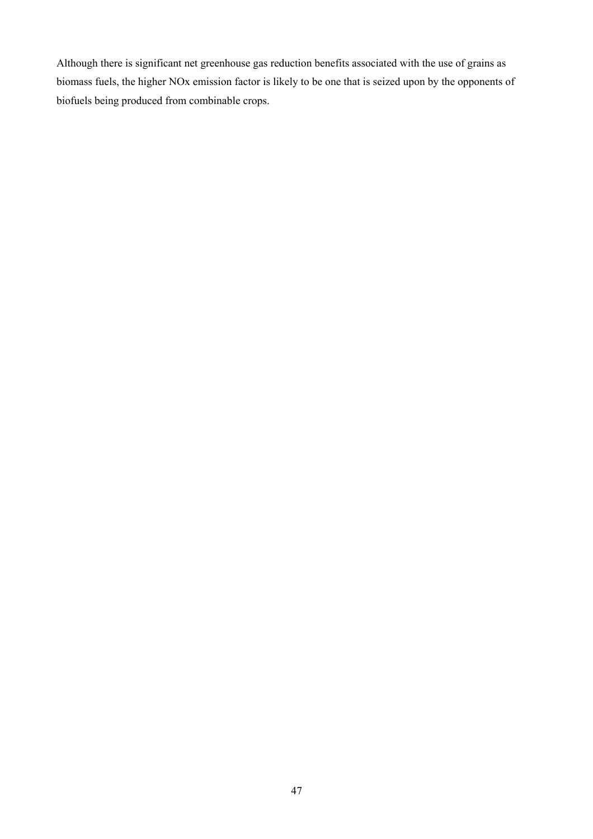Although there is significant net greenhouse gas reduction benefits associated with the use of grains as biomass fuels, the higher NOx emission factor is likely to be one that is seized upon by the opponents of biofuels being produced from combinable crops.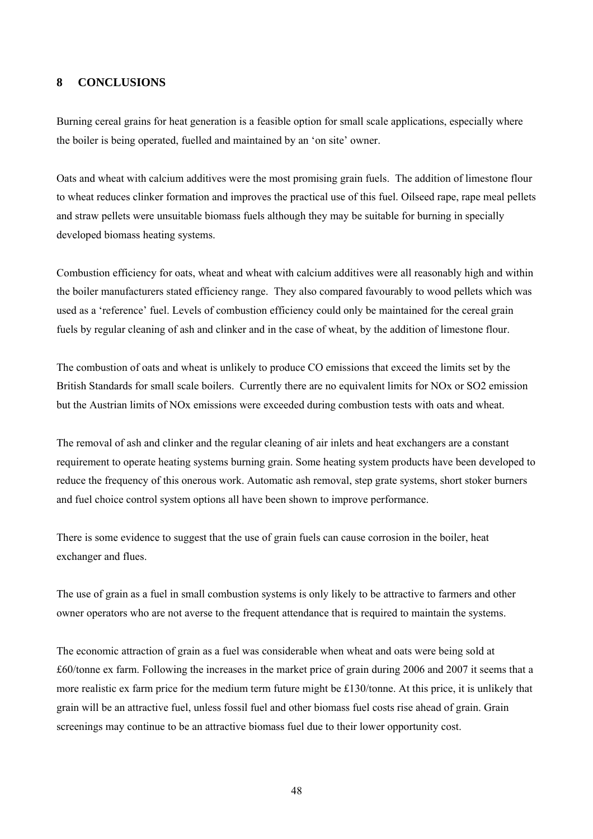#### **8 CONCLUSIONS**

Burning cereal grains for heat generation is a feasible option for small scale applications, especially where the boiler is being operated, fuelled and maintained by an 'on site' owner.

Oats and wheat with calcium additives were the most promising grain fuels. The addition of limestone flour to wheat reduces clinker formation and improves the practical use of this fuel. Oilseed rape, rape meal pellets and straw pellets were unsuitable biomass fuels although they may be suitable for burning in specially developed biomass heating systems.

Combustion efficiency for oats, wheat and wheat with calcium additives were all reasonably high and within the boiler manufacturers stated efficiency range. They also compared favourably to wood pellets which was used as a 'reference' fuel. Levels of combustion efficiency could only be maintained for the cereal grain fuels by regular cleaning of ash and clinker and in the case of wheat, by the addition of limestone flour.

The combustion of oats and wheat is unlikely to produce CO emissions that exceed the limits set by the British Standards for small scale boilers. Currently there are no equivalent limits for NOx or SO2 emission but the Austrian limits of NOx emissions were exceeded during combustion tests with oats and wheat.

The removal of ash and clinker and the regular cleaning of air inlets and heat exchangers are a constant requirement to operate heating systems burning grain. Some heating system products have been developed to reduce the frequency of this onerous work. Automatic ash removal, step grate systems, short stoker burners and fuel choice control system options all have been shown to improve performance.

There is some evidence to suggest that the use of grain fuels can cause corrosion in the boiler, heat exchanger and flues.

The use of grain as a fuel in small combustion systems is only likely to be attractive to farmers and other owner operators who are not averse to the frequent attendance that is required to maintain the systems.

The economic attraction of grain as a fuel was considerable when wheat and oats were being sold at £60/tonne ex farm. Following the increases in the market price of grain during 2006 and 2007 it seems that a more realistic ex farm price for the medium term future might be £130/tonne. At this price, it is unlikely that grain will be an attractive fuel, unless fossil fuel and other biomass fuel costs rise ahead of grain. Grain screenings may continue to be an attractive biomass fuel due to their lower opportunity cost.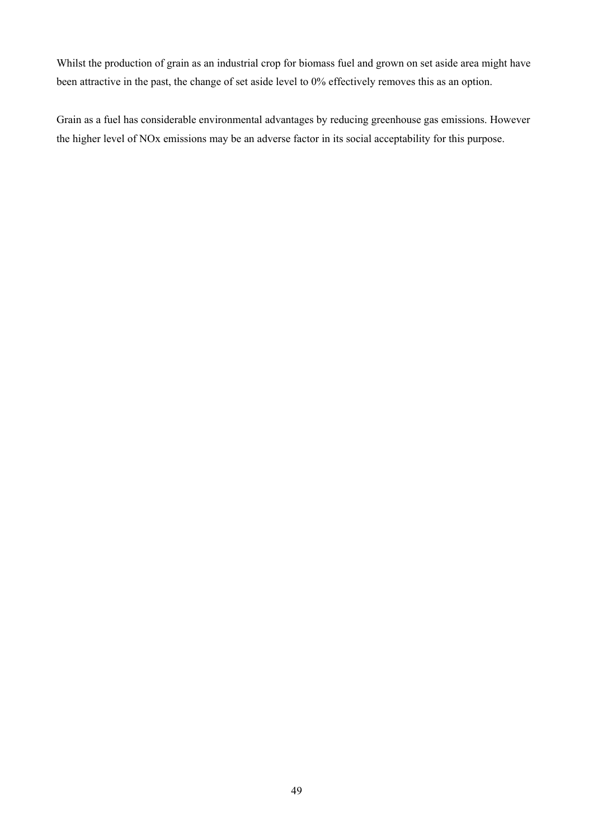Whilst the production of grain as an industrial crop for biomass fuel and grown on set aside area might have been attractive in the past, the change of set aside level to 0% effectively removes this as an option.

Grain as a fuel has considerable environmental advantages by reducing greenhouse gas emissions. However the higher level of NOx emissions may be an adverse factor in its social acceptability for this purpose.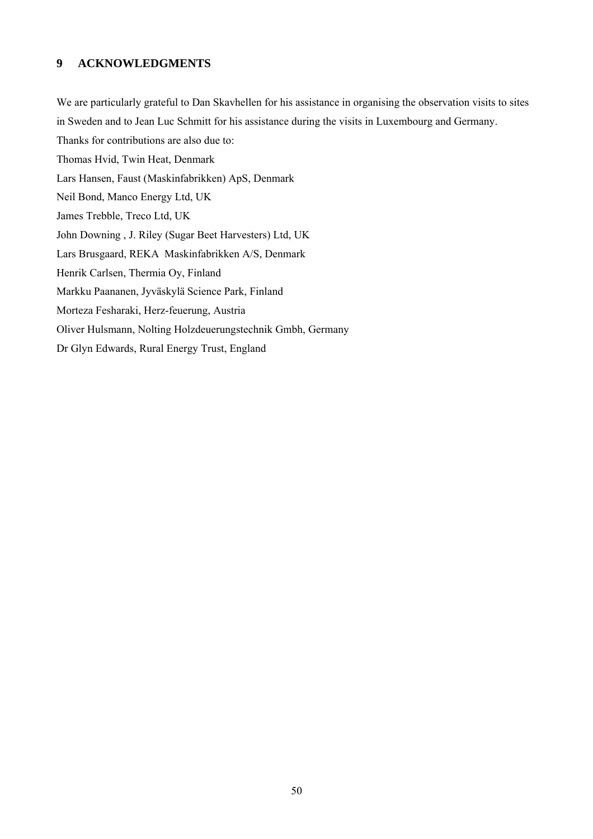# **9 ACKNOWLEDGMENTS**

We are particularly grateful to Dan Skavhellen for his assistance in organising the observation visits to sites in Sweden and to Jean Luc Schmitt for his assistance during the visits in Luxembourg and Germany. Thanks for contributions are also due to: Thomas Hvid, Twin Heat, Denmark Lars Hansen, Faust (Maskinfabrikken) ApS, Denmark Neil Bond, Manco Energy Ltd, UK James Trebble, Treco Ltd, UK John Downing , J. Riley (Sugar Beet Harvesters) Ltd, UK Lars Brusgaard, REKA Maskinfabrikken A/S, Denmark Henrik Carlsen, Thermia Oy, Finland Markku Paananen, Jyväskylä Science Park, Finland Morteza Fesharaki, Herz-feuerung, Austria Oliver Hulsmann, Nolting Holzdeuerungstechnik Gmbh, Germany Dr Glyn Edwards, Rural Energy Trust, England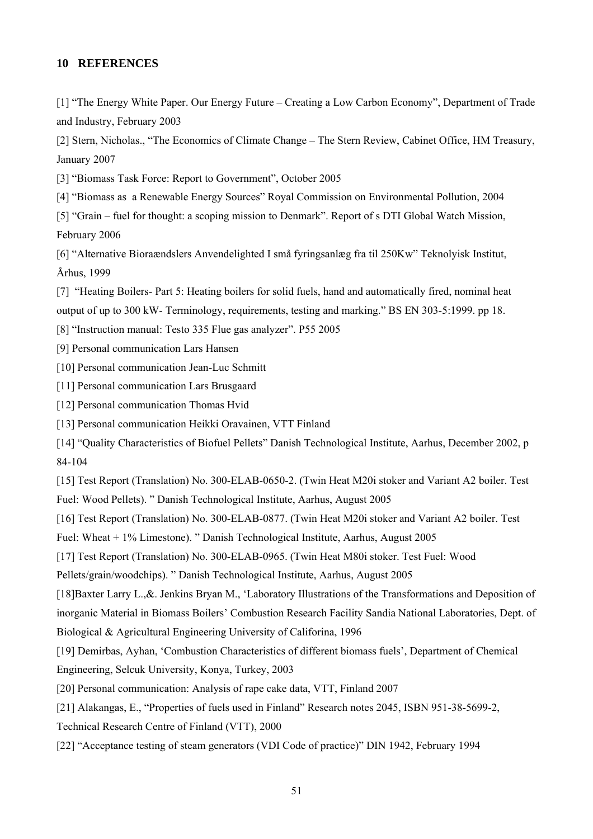## **10 REFERENCES**

[1] "The Energy White Paper. Our Energy Future – Creating a Low Carbon Economy", Department of Trade and Industry, February 2003

[2] Stern, Nicholas., "The Economics of Climate Change – The Stern Review, Cabinet Office, HM Treasury, January 2007

[3] "Biomass Task Force: Report to Government", October 2005

[4] "Biomass as a Renewable Energy Sources" Royal Commission on Environmental Pollution, 2004

[5] "Grain – fuel for thought: a scoping mission to Denmark". Report of s DTI Global Watch Mission, February 2006

[6] "Alternative Bioraændslers Anvendelighted I små fyringsanlæg fra til 250Kw" Teknolyisk Institut, Århus, 1999

[7] "Heating Boilers- Part 5: Heating boilers for solid fuels, hand and automatically fired, nominal heat

output of up to 300 kW- Terminology, requirements, testing and marking." BS EN 303-5:1999. pp 18.

[8] "Instruction manual: Testo 335 Flue gas analyzer". P55 2005

[9] Personal communication Lars Hansen

[10] Personal communication Jean-Luc Schmitt

[11] Personal communication Lars Brusgaard

[12] Personal communication Thomas Hvid

[13] Personal communication Heikki Oravainen, VTT Finland

[14] "Quality Characteristics of Biofuel Pellets" Danish Technological Institute, Aarhus, December 2002, p 84-104

[15] Test Report (Translation) No. 300-ELAB-0650-2. (Twin Heat M20i stoker and Variant A2 boiler. Test Fuel: Wood Pellets). " Danish Technological Institute, Aarhus, August 2005

[16] Test Report (Translation) No. 300-ELAB-0877. (Twin Heat M20i stoker and Variant A2 boiler. Test

Fuel: Wheat + 1% Limestone). " Danish Technological Institute, Aarhus, August 2005

[17] Test Report (Translation) No. 300-ELAB-0965. (Twin Heat M80i stoker. Test Fuel: Wood

Pellets/grain/woodchips). " Danish Technological Institute, Aarhus, August 2005

[18]Baxter Larry L.,&. Jenkins Bryan M., 'Laboratory Illustrations of the Transformations and Deposition of inorganic Material in Biomass Boilers' Combustion Research Facility Sandia National Laboratories, Dept. of

Biological & Agricultural Engineering University of Califorina, 1996

[19] Demirbas, Ayhan, 'Combustion Characteristics of different biomass fuels', Department of Chemical Engineering, Selcuk University, Konya, Turkey, 2003

[20] Personal communication: Analysis of rape cake data, VTT, Finland 2007

[21] Alakangas, E., "Properties of fuels used in Finland" Research notes 2045, ISBN 951-38-5699-2,

Technical Research Centre of Finland (VTT), 2000

[22] "Acceptance testing of steam generators (VDI Code of practice)" DIN 1942, February 1994